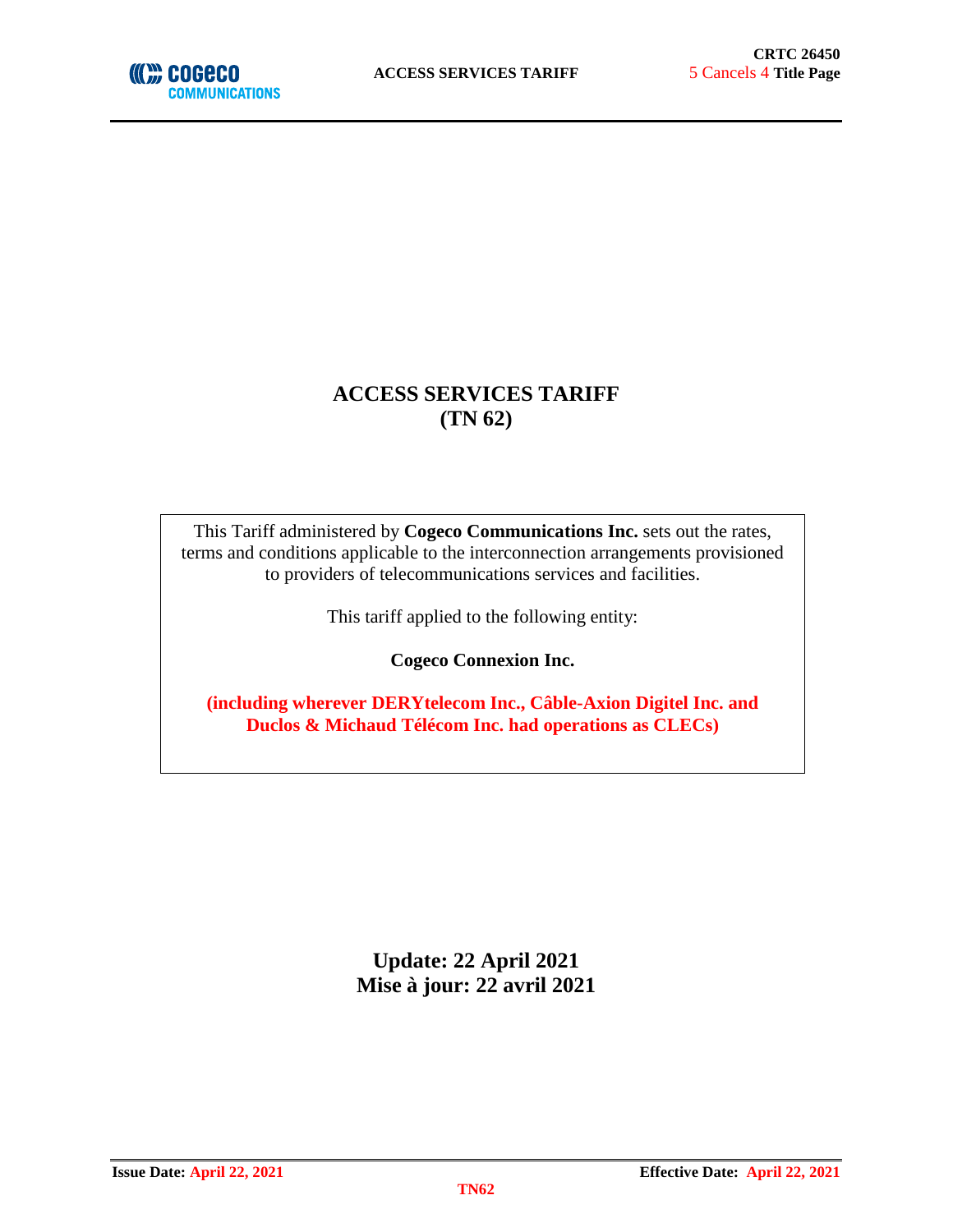

## **ACCESS SERVICES TARIFF (TN 62)**

This Tariff administered by **Cogeco Communications Inc.** sets out the rates, terms and conditions applicable to the interconnection arrangements provisioned to providers of telecommunications services and facilities.

This tariff applied to the following entity:

**Cogeco Connexion Inc.**

**(including wherever DERYtelecom Inc., Câble-Axion Digitel Inc. and Duclos & Michaud Télécom Inc. had operations as CLECs)**

> **Update: 22 April 2021 Mise à jour: 22 avril 2021**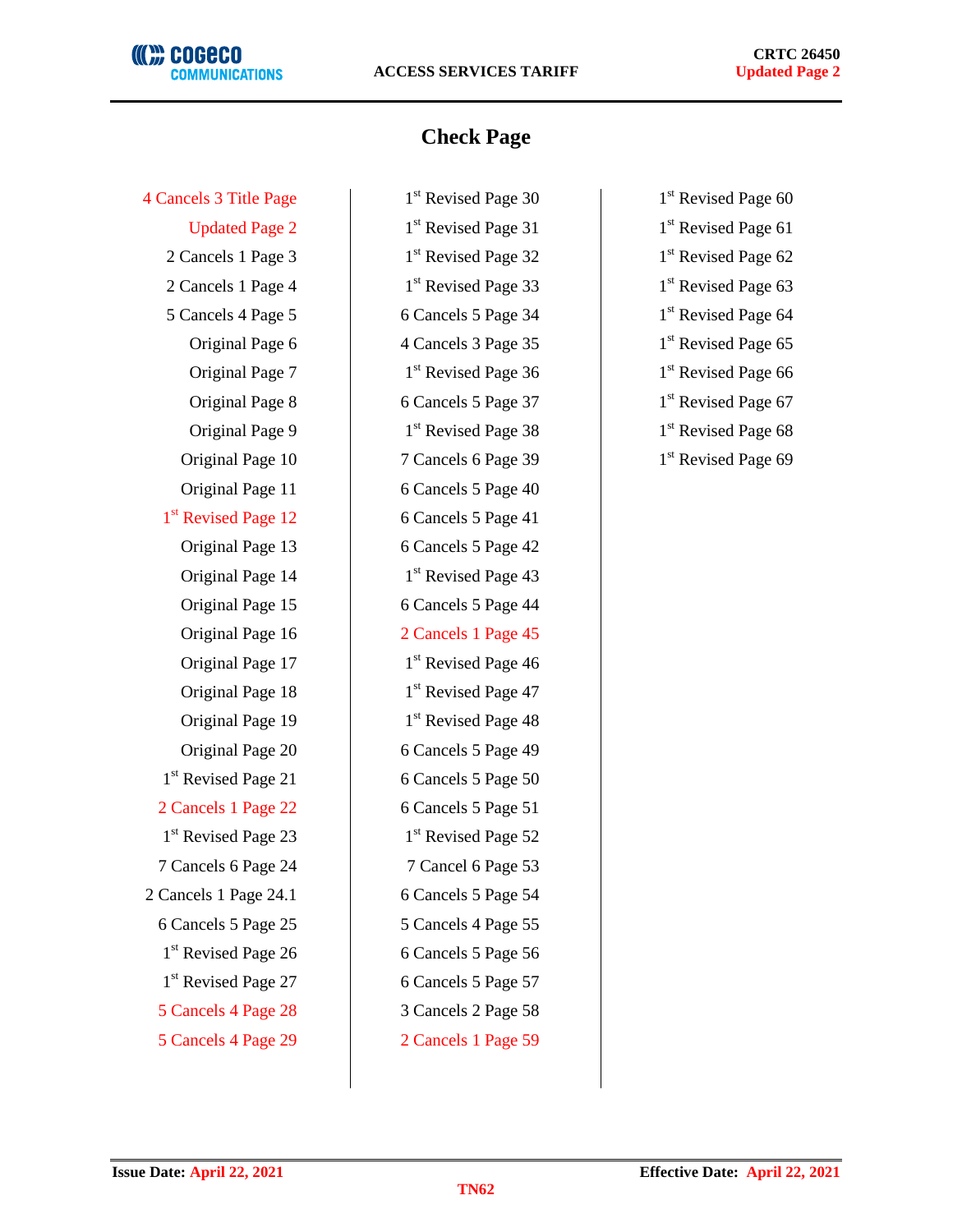## **(((M) COGECO COMMUNICATIONS**

## **Check Page**

 $1<sup>st</sup>$  Revised Page 12 6 Cancels 5 Page 41  $1<sup>st</sup>$  Revised Page 21 6 Cancels 5 Page 50 2 Cancels 1 Page 22 6 Cancels 5 Page 51  $1<sup>st</sup>$  Revised Page 23 1<sup>st</sup> Revised Page 52 7 Cancels 6 Page 24 7 Cancel 6 Page 53 2 Cancels 1 Page 24.1 6 Cancels 5 Page 54 6 Cancels 5 Page 25 5 Cancels 4 Page 55  $1<sup>st</sup>$  Revised Page 26 6 Cancels 5 Page 56 1<sup>st</sup> Revised Page 27 6 Cancels 5 Page 57 5 Cancels 4 Page 28 3 Cancels 2 Page 58 5 Cancels 4 Page 29 2 Cancels 1 Page 59

4 Cancels 3 Title Page 1st Revised Page 30 1st Revised Page 60 Updated Page 2  $1^{st}$  Revised Page 31  $1^{st}$  Revised Page 61 2 Cancels 1 Page 3 1st Revised Page 32 1st Revised Page 62 2 Cancels 1 Page 4 1st Revised Page 33 1st Revised Page 63 5 Cancels 4 Page 5 6 Cancels 5 Page 34 1st Revised Page 64 Original Page 6 4 Cancels 3 Page 35 1st Revised Page 65 Original Page 7 1st Revised Page 36 1st Revised Page 66 Original Page 8 6 Cancels 5 Page 37 1st Revised Page 67 Original Page 9 1st Revised Page 38 1st Revised Page 68 Original Page 10 7 Cancels 6 Page 39 1st Revised Page 69 Original Page 11 6 Cancels 5 Page 40 Original Page 13 6 Cancels 5 Page 42 Original Page  $14$  1<sup>st</sup> Revised Page 43 Original Page 15 6 Cancels 5 Page 44 Original Page 16 2 Cancels 1 Page 45 Original Page 17  $1<sup>st</sup>$  Revised Page 46 Original Page 18  $1<sup>st</sup>$  Revised Page 47 Original Page 19  $1<sup>st</sup>$  Revised Page 48 Original Page 20 (6 Cancels 5 Page 49)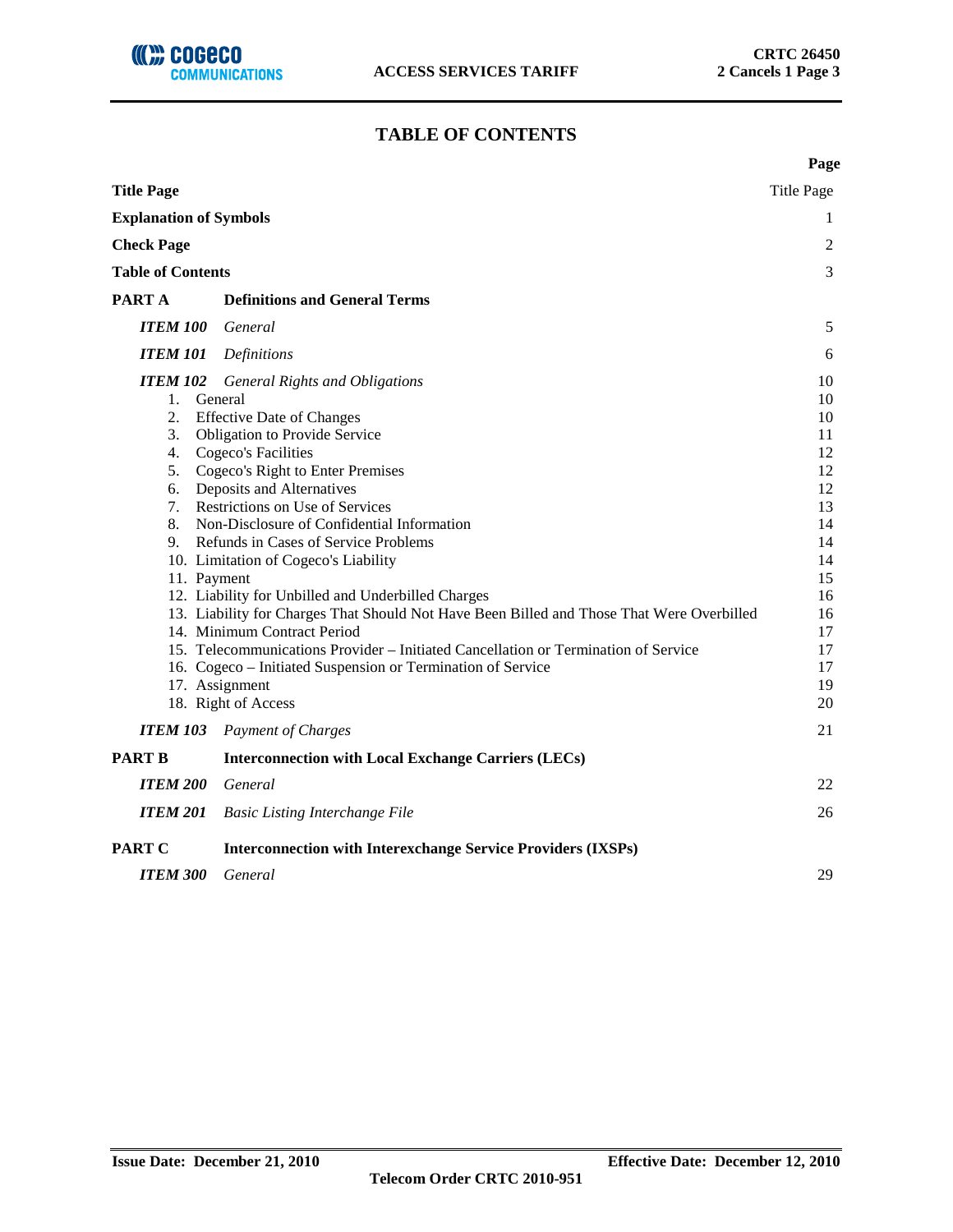## **TABLE OF CONTENTS**

|                                             |                                                                                                                                                                                                                                                                                                                                                                                                                                                                                                                                                                                                                                                                                                                                                                             | Page                                                                                                           |
|---------------------------------------------|-----------------------------------------------------------------------------------------------------------------------------------------------------------------------------------------------------------------------------------------------------------------------------------------------------------------------------------------------------------------------------------------------------------------------------------------------------------------------------------------------------------------------------------------------------------------------------------------------------------------------------------------------------------------------------------------------------------------------------------------------------------------------------|----------------------------------------------------------------------------------------------------------------|
| <b>Title Page</b>                           |                                                                                                                                                                                                                                                                                                                                                                                                                                                                                                                                                                                                                                                                                                                                                                             | <b>Title Page</b>                                                                                              |
| <b>Explanation of Symbols</b>               |                                                                                                                                                                                                                                                                                                                                                                                                                                                                                                                                                                                                                                                                                                                                                                             | 1                                                                                                              |
| <b>Check Page</b>                           |                                                                                                                                                                                                                                                                                                                                                                                                                                                                                                                                                                                                                                                                                                                                                                             | 2                                                                                                              |
| <b>Table of Contents</b>                    |                                                                                                                                                                                                                                                                                                                                                                                                                                                                                                                                                                                                                                                                                                                                                                             | 3                                                                                                              |
| PART A                                      | <b>Definitions and General Terms</b>                                                                                                                                                                                                                                                                                                                                                                                                                                                                                                                                                                                                                                                                                                                                        |                                                                                                                |
| <b>ITEM 100</b>                             | General                                                                                                                                                                                                                                                                                                                                                                                                                                                                                                                                                                                                                                                                                                                                                                     | 5                                                                                                              |
| <b>ITEM 101</b>                             | <b>Definitions</b>                                                                                                                                                                                                                                                                                                                                                                                                                                                                                                                                                                                                                                                                                                                                                          | 6                                                                                                              |
| 1. General<br>2.<br>3.<br>6.<br>11. Payment | <b>ITEM 102</b> General Rights and Obligations<br><b>Effective Date of Changes</b><br>Obligation to Provide Service<br>4. Cogeco's Facilities<br>5. Cogeco's Right to Enter Premises<br>Deposits and Alternatives<br>7. Restrictions on Use of Services<br>8. Non-Disclosure of Confidential Information<br>9. Refunds in Cases of Service Problems<br>10. Limitation of Cogeco's Liability<br>12. Liability for Unbilled and Underbilled Charges<br>13. Liability for Charges That Should Not Have Been Billed and Those That Were Overbilled<br>14. Minimum Contract Period<br>15. Telecommunications Provider – Initiated Cancellation or Termination of Service<br>16. Cogeco - Initiated Suspension or Termination of Service<br>17. Assignment<br>18. Right of Access | 10<br>10<br>10<br>11<br>12<br>12<br>12<br>13<br>14<br>14<br>14<br>15<br>16<br>16<br>17<br>17<br>17<br>19<br>20 |
|                                             | <b>ITEM 103</b> Payment of Charges                                                                                                                                                                                                                                                                                                                                                                                                                                                                                                                                                                                                                                                                                                                                          | 21                                                                                                             |
| <b>PART B</b>                               | <b>Interconnection with Local Exchange Carriers (LECs)</b>                                                                                                                                                                                                                                                                                                                                                                                                                                                                                                                                                                                                                                                                                                                  |                                                                                                                |
| <b>ITEM 200</b>                             | General                                                                                                                                                                                                                                                                                                                                                                                                                                                                                                                                                                                                                                                                                                                                                                     | 22                                                                                                             |
| <b>ITEM 201</b>                             | <b>Basic Listing Interchange File</b>                                                                                                                                                                                                                                                                                                                                                                                                                                                                                                                                                                                                                                                                                                                                       | 26                                                                                                             |
| <b>PART C</b>                               | <b>Interconnection with Interexchange Service Providers (IXSPs)</b>                                                                                                                                                                                                                                                                                                                                                                                                                                                                                                                                                                                                                                                                                                         |                                                                                                                |
| <b>ITEM 300</b>                             | General                                                                                                                                                                                                                                                                                                                                                                                                                                                                                                                                                                                                                                                                                                                                                                     | 29                                                                                                             |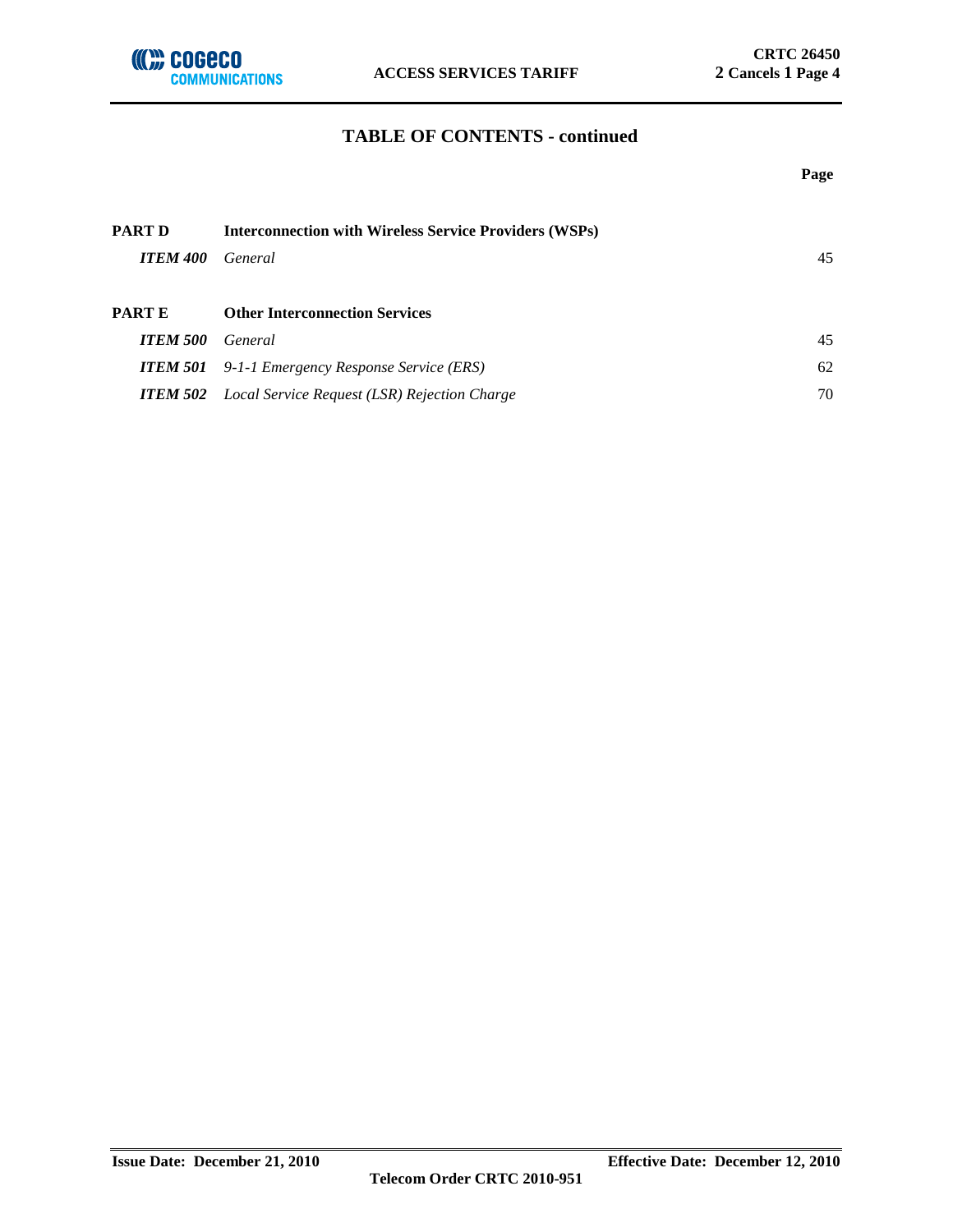

#### **TABLE OF CONTENTS - continued**

|                 |                                                               | Page |
|-----------------|---------------------------------------------------------------|------|
| PART D          | <b>Interconnection with Wireless Service Providers (WSPs)</b> |      |
| <b>ITEM 400</b> | General                                                       | 45   |
| PART E          | <b>Other Interconnection Services</b>                         |      |
| <b>ITEM 500</b> | General                                                       | 45   |
| <b>ITEM 501</b> | 9-1-1 Emergency Response Service (ERS)                        | 62   |
|                 | <b>ITEM 502</b> Local Service Request (LSR) Rejection Charge  | 70   |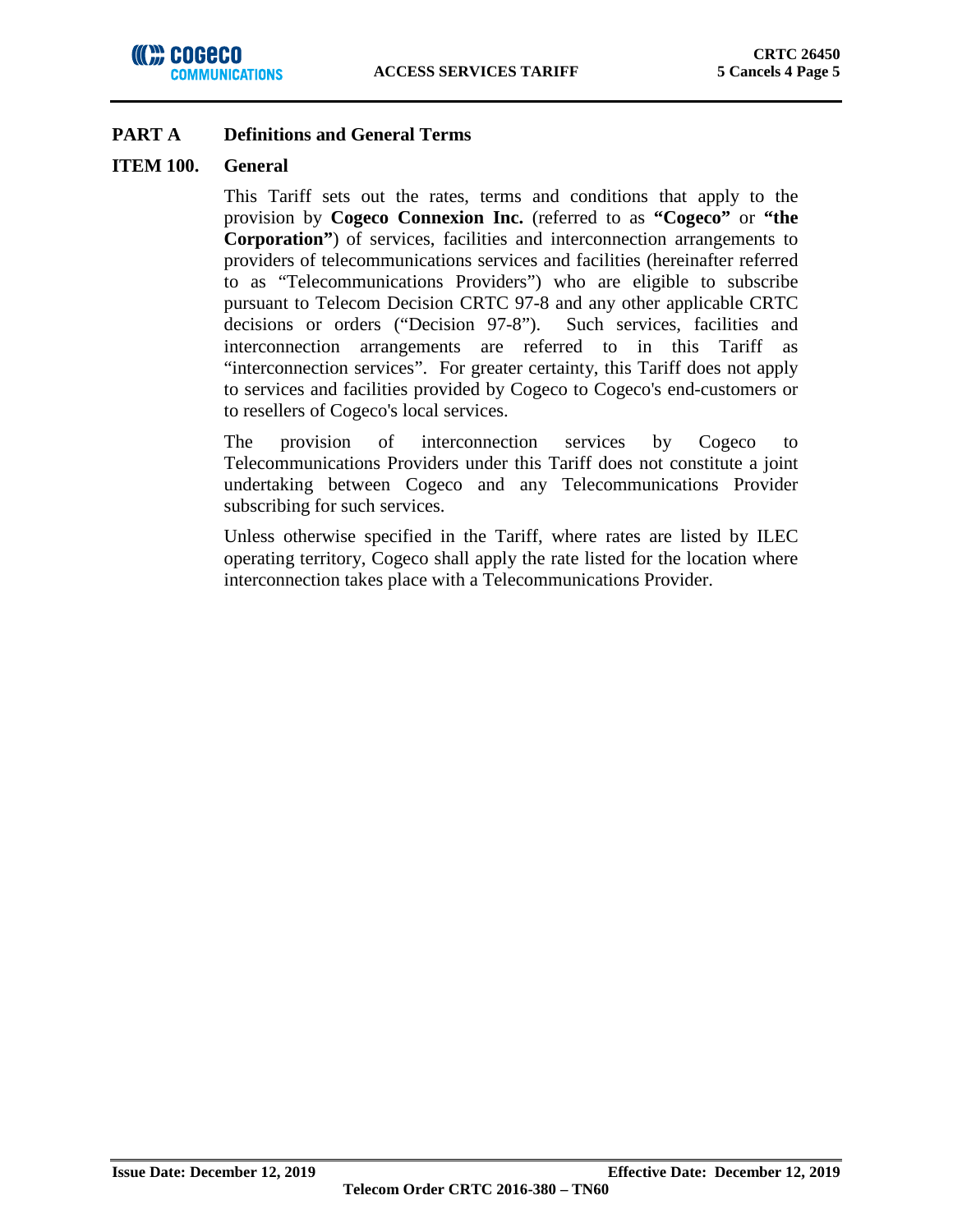## **ITEM 100. General**

This Tariff sets out the rates, terms and conditions that apply to the provision by **Cogeco Connexion Inc.** (referred to as **"Cogeco"** or **"the Corporation"**) of services, facilities and interconnection arrangements to providers of telecommunications services and facilities (hereinafter referred to as "Telecommunications Providers") who are eligible to subscribe pursuant to Telecom Decision CRTC 97-8 and any other applicable CRTC decisions or orders ("Decision 97-8"). Such services, facilities and interconnection arrangements are referred to in this Tariff as "interconnection services". For greater certainty, this Tariff does not apply to services and facilities provided by Cogeco to Cogeco's end-customers or to resellers of Cogeco's local services.

The provision of interconnection services by Cogeco to Telecommunications Providers under this Tariff does not constitute a joint undertaking between Cogeco and any Telecommunications Provider subscribing for such services.

Unless otherwise specified in the Tariff, where rates are listed by ILEC operating territory, Cogeco shall apply the rate listed for the location where interconnection takes place with a Telecommunications Provider.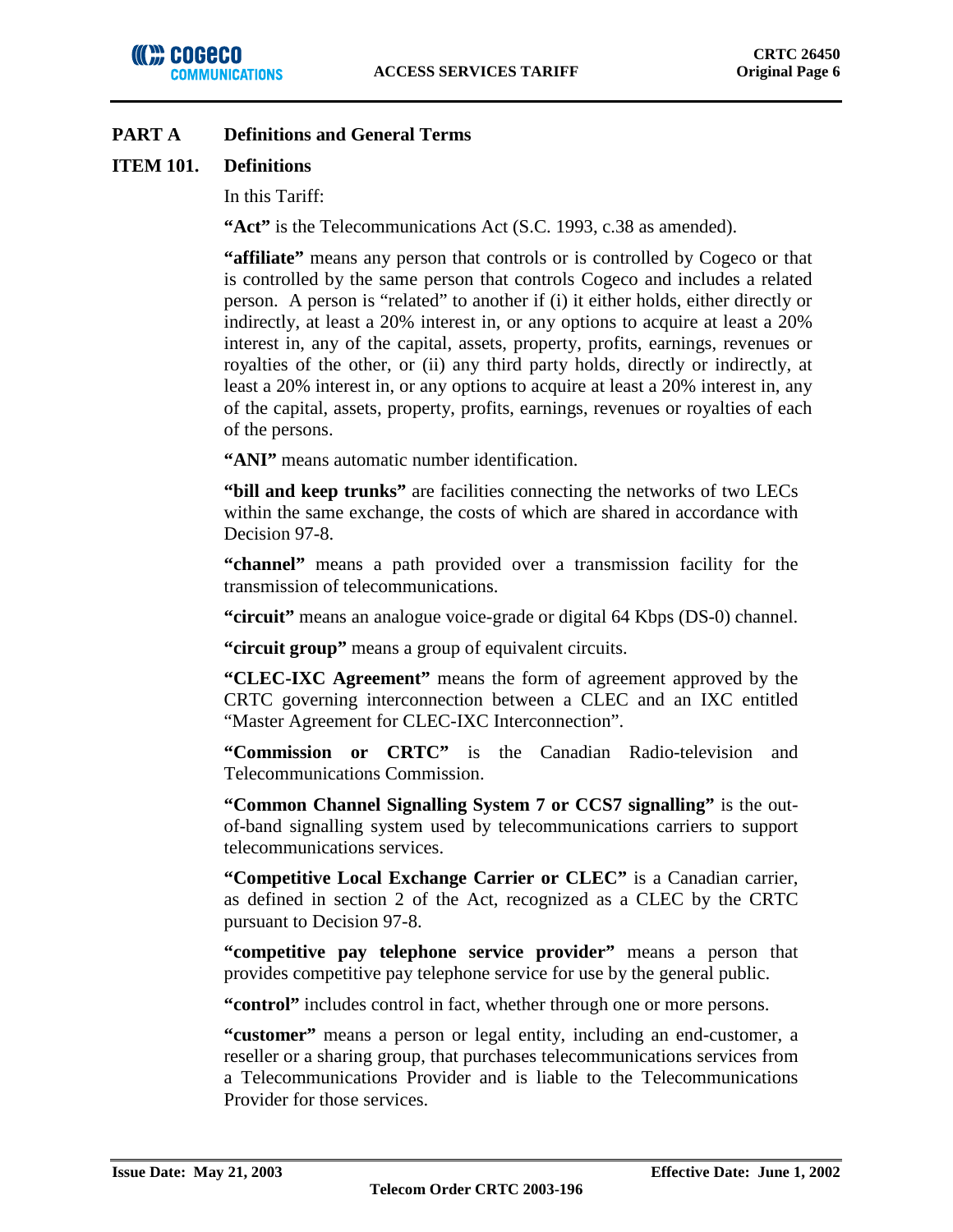## **ITEM 101. Definitions**

In this Tariff:

**"Act"** is the Telecommunications Act (S.C. 1993, c.38 as amended).

**"affiliate"** means any person that controls or is controlled by Cogeco or that is controlled by the same person that controls Cogeco and includes a related person. A person is "related" to another if (i) it either holds, either directly or indirectly, at least a 20% interest in, or any options to acquire at least a 20% interest in, any of the capital, assets, property, profits, earnings, revenues or royalties of the other, or (ii) any third party holds, directly or indirectly, at least a 20% interest in, or any options to acquire at least a 20% interest in, any of the capital, assets, property, profits, earnings, revenues or royalties of each of the persons.

**"ANI"** means automatic number identification.

**"bill and keep trunks"** are facilities connecting the networks of two LECs within the same exchange, the costs of which are shared in accordance with Decision 97-8.

**"channel"** means a path provided over a transmission facility for the transmission of telecommunications.

**"circuit"** means an analogue voice-grade or digital 64 Kbps (DS-0) channel.

**"circuit group"** means a group of equivalent circuits.

**"CLEC-IXC Agreement"** means the form of agreement approved by the CRTC governing interconnection between a CLEC and an IXC entitled "Master Agreement for CLEC-IXC Interconnection".

**"Commission or CRTC"** is the Canadian Radio-television and Telecommunications Commission.

**"Common Channel Signalling System 7 or CCS7 signalling"** is the outof-band signalling system used by telecommunications carriers to support telecommunications services.

**"Competitive Local Exchange Carrier or CLEC"** is a Canadian carrier, as defined in section 2 of the Act, recognized as a CLEC by the CRTC pursuant to Decision 97-8.

**"competitive pay telephone service provider"** means a person that provides competitive pay telephone service for use by the general public.

**"control"** includes control in fact, whether through one or more persons.

**"customer"** means a person or legal entity, including an end-customer, a reseller or a sharing group, that purchases telecommunications services from a Telecommunications Provider and is liable to the Telecommunications Provider for those services.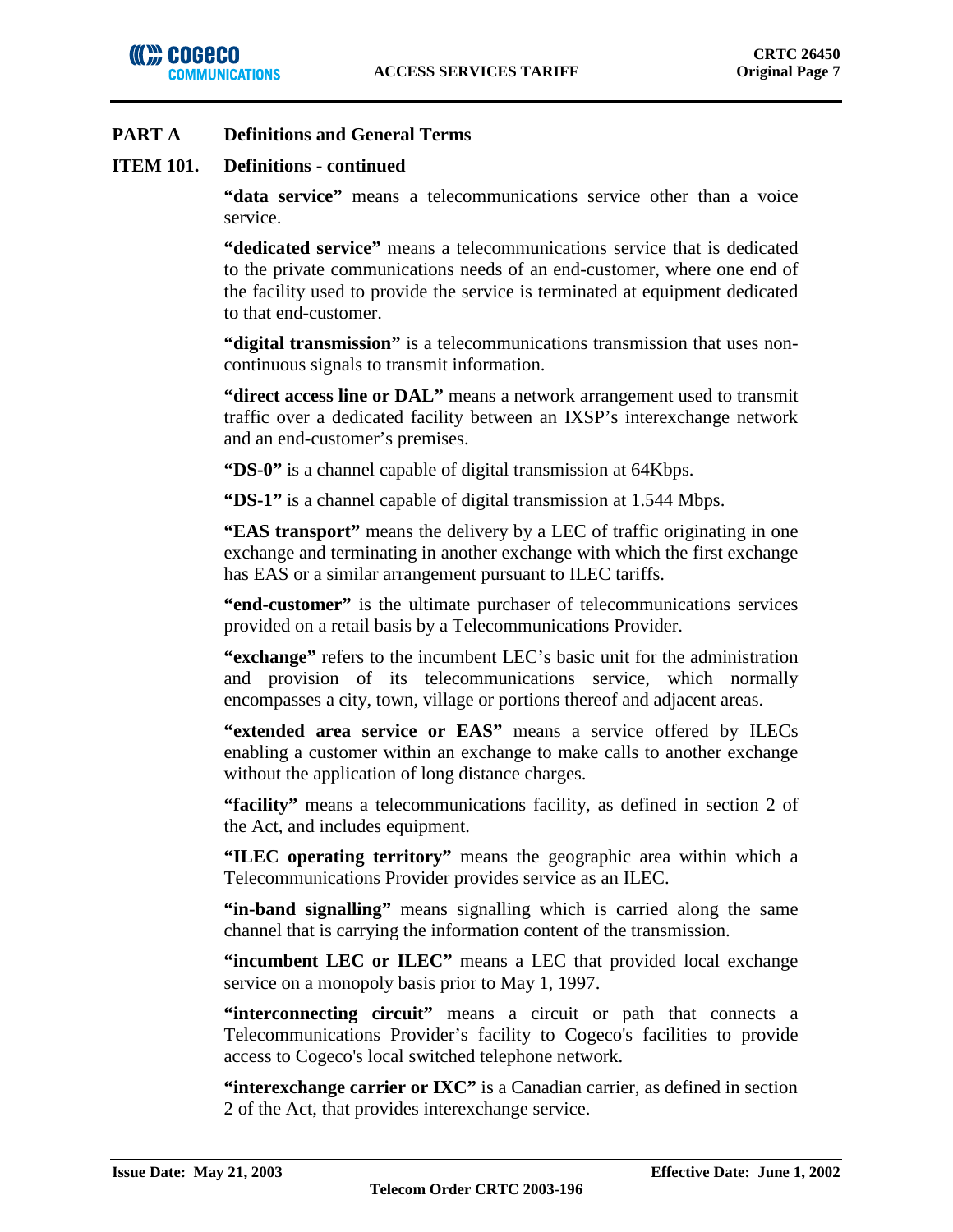## **ITEM 101. Definitions - continued**

**"data service"** means a telecommunications service other than a voice service.

**"dedicated service"** means a telecommunications service that is dedicated to the private communications needs of an end-customer, where one end of the facility used to provide the service is terminated at equipment dedicated to that end-customer.

**"digital transmission"** is a telecommunications transmission that uses noncontinuous signals to transmit information.

**"direct access line or DAL"** means a network arrangement used to transmit traffic over a dedicated facility between an IXSP's interexchange network and an end-customer's premises.

**"DS-0"** is a channel capable of digital transmission at 64Kbps.

**"DS-1"** is a channel capable of digital transmission at 1.544 Mbps.

**"EAS transport"** means the delivery by a LEC of traffic originating in one exchange and terminating in another exchange with which the first exchange has EAS or a similar arrangement pursuant to ILEC tariffs.

**"end-customer"** is the ultimate purchaser of telecommunications services provided on a retail basis by a Telecommunications Provider.

**"exchange"** refers to the incumbent LEC's basic unit for the administration and provision of its telecommunications service, which normally encompasses a city, town, village or portions thereof and adjacent areas.

**"extended area service or EAS"** means a service offered by ILECs enabling a customer within an exchange to make calls to another exchange without the application of long distance charges.

**"facility"** means a telecommunications facility, as defined in section 2 of the Act, and includes equipment.

**"ILEC operating territory"** means the geographic area within which a Telecommunications Provider provides service as an ILEC.

**"in-band signalling"** means signalling which is carried along the same channel that is carrying the information content of the transmission.

**"incumbent LEC or ILEC"** means a LEC that provided local exchange service on a monopoly basis prior to May 1, 1997.

**"interconnecting circuit"** means a circuit or path that connects a Telecommunications Provider's facility to Cogeco's facilities to provide access to Cogeco's local switched telephone network.

**"interexchange carrier or IXC"** is a Canadian carrier, as defined in section 2 of the Act, that provides interexchange service.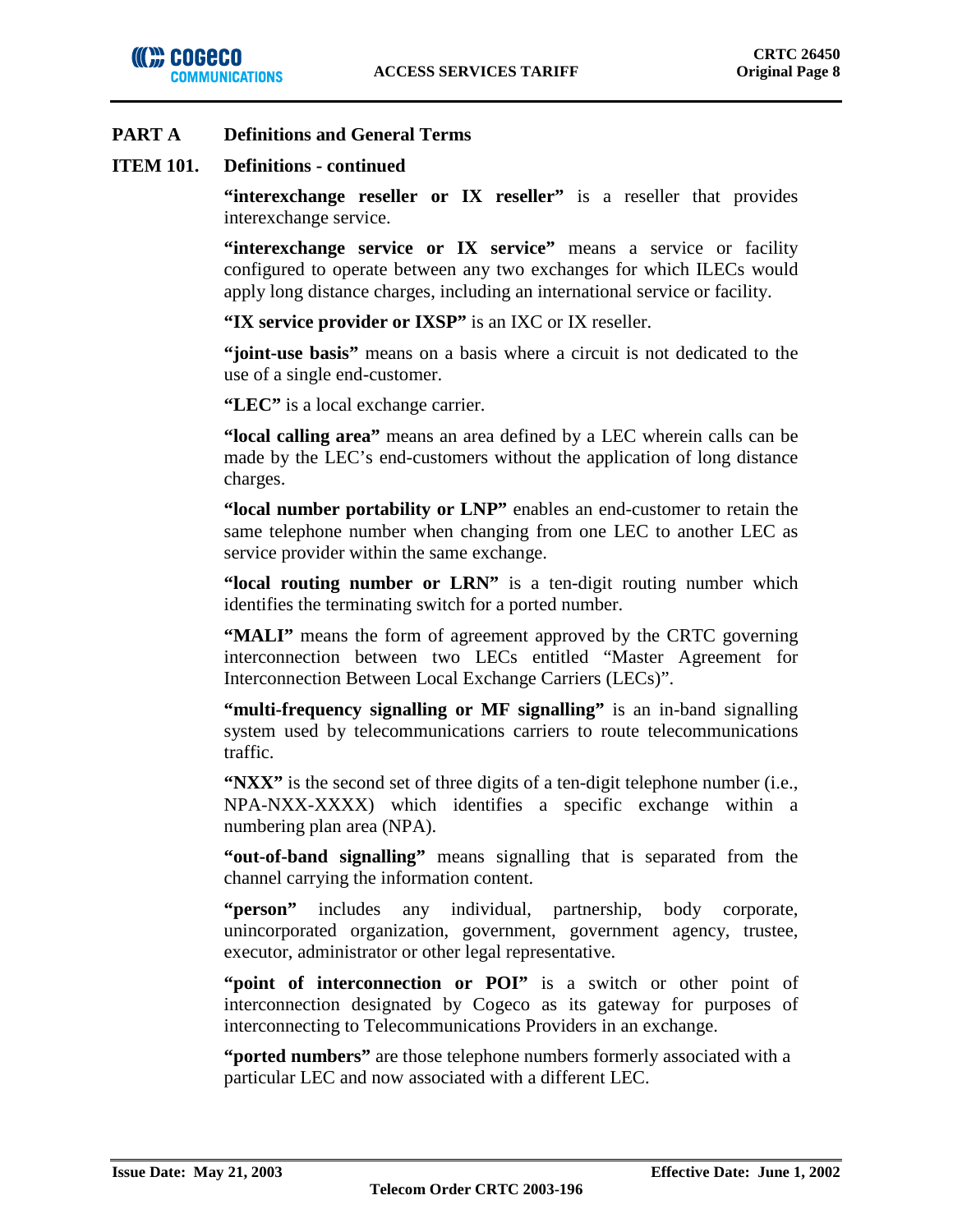

### **ITEM 101. Definitions - continued**

"interexchange reseller or IX reseller" is a reseller that provides interexchange service.

**"interexchange service or IX service"** means a service or facility configured to operate between any two exchanges for which ILECs would apply long distance charges, including an international service or facility.

**"IX service provider or IXSP"** is an IXC or IX reseller.

**"joint-use basis"** means on a basis where a circuit is not dedicated to the use of a single end-customer.

**"LEC"** is a local exchange carrier.

**"local calling area"** means an area defined by a LEC wherein calls can be made by the LEC's end-customers without the application of long distance charges.

**"local number portability or LNP"** enables an end-customer to retain the same telephone number when changing from one LEC to another LEC as service provider within the same exchange.

**"local routing number or LRN"** is a ten-digit routing number which identifies the terminating switch for a ported number.

**"MALI"** means the form of agreement approved by the CRTC governing interconnection between two LECs entitled "Master Agreement for Interconnection Between Local Exchange Carriers (LECs)".

**"multi-frequency signalling or MF signalling"** is an in-band signalling system used by telecommunications carriers to route telecommunications traffic.

**"NXX"** is the second set of three digits of a ten-digit telephone number (i.e., NPA-NXX-XXXX) which identifies a specific exchange within a numbering plan area (NPA).

**"out-of-band signalling"** means signalling that is separated from the channel carrying the information content.

**"person"** includes any individual, partnership, body corporate, unincorporated organization, government, government agency, trustee, executor, administrator or other legal representative.

"**point of interconnection or POI"** is a switch or other point of interconnection designated by Cogeco as its gateway for purposes of interconnecting to Telecommunications Providers in an exchange.

**"ported numbers"** are those telephone numbers formerly associated with a particular LEC and now associated with a different LEC.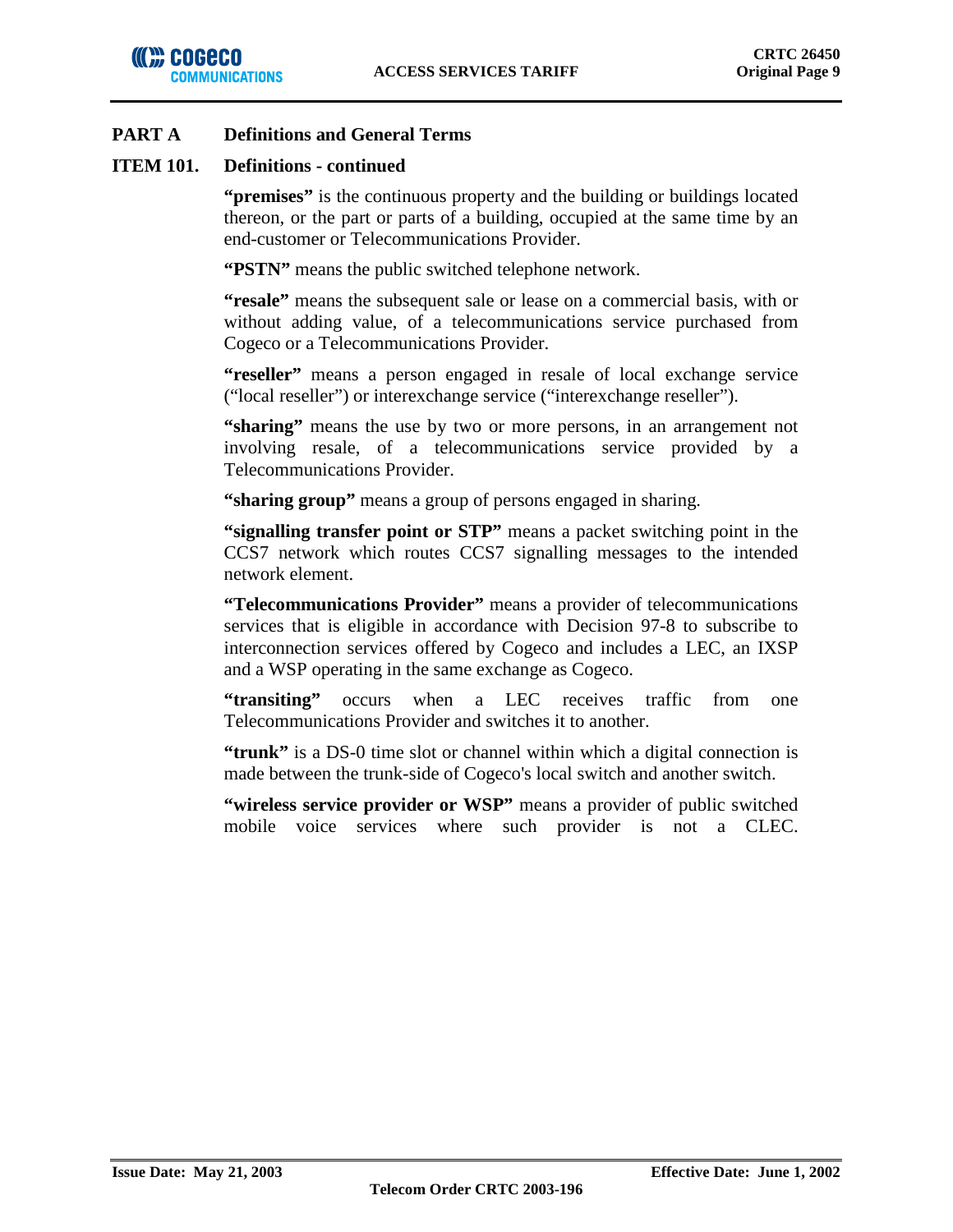### **ITEM 101. Definitions - continued**

**"premises"** is the continuous property and the building or buildings located thereon, or the part or parts of a building, occupied at the same time by an end-customer or Telecommunications Provider.

**"PSTN"** means the public switched telephone network.

**"resale"** means the subsequent sale or lease on a commercial basis, with or without adding value, of a telecommunications service purchased from Cogeco or a Telecommunications Provider.

**"reseller"** means a person engaged in resale of local exchange service ("local reseller") or interexchange service ("interexchange reseller").

**"sharing"** means the use by two or more persons, in an arrangement not involving resale, of a telecommunications service provided by a Telecommunications Provider.

**"sharing group"** means a group of persons engaged in sharing.

**"signalling transfer point or STP"** means a packet switching point in the CCS7 network which routes CCS7 signalling messages to the intended network element.

**"Telecommunications Provider"** means a provider of telecommunications services that is eligible in accordance with Decision 97-8 to subscribe to interconnection services offered by Cogeco and includes a LEC, an IXSP and a WSP operating in the same exchange as Cogeco.

**"transiting"** occurs when a LEC receives traffic from one Telecommunications Provider and switches it to another.

**"trunk"** is a DS-0 time slot or channel within which a digital connection is made between the trunk-side of Cogeco's local switch and another switch.

**"wireless service provider or WSP"** means a provider of public switched mobile voice services where such provider is not a CLEC.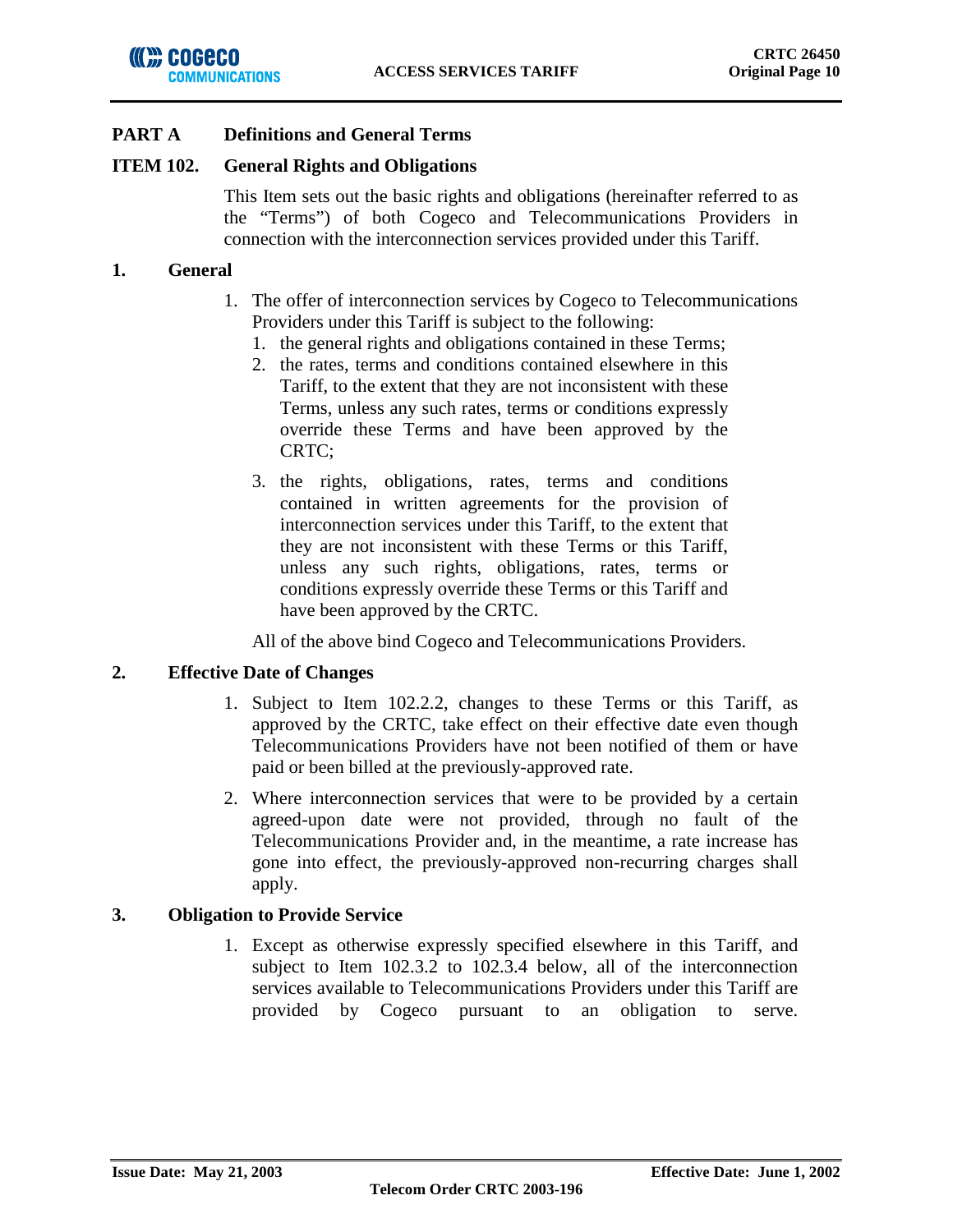### **ITEM 102. General Rights and Obligations**

This Item sets out the basic rights and obligations (hereinafter referred to as the "Terms") of both Cogeco and Telecommunications Providers in connection with the interconnection services provided under this Tariff.

### **1. General**

- 1. The offer of interconnection services by Cogeco to Telecommunications Providers under this Tariff is subject to the following:
	- 1. the general rights and obligations contained in these Terms;
	- 2. the rates, terms and conditions contained elsewhere in this Tariff, to the extent that they are not inconsistent with these Terms, unless any such rates, terms or conditions expressly override these Terms and have been approved by the CRTC;
	- 3. the rights, obligations, rates, terms and conditions contained in written agreements for the provision of interconnection services under this Tariff, to the extent that they are not inconsistent with these Terms or this Tariff, unless any such rights, obligations, rates, terms or conditions expressly override these Terms or this Tariff and have been approved by the CRTC.

All of the above bind Cogeco and Telecommunications Providers.

### **2. Effective Date of Changes**

- 1. Subject to Item 102.2.2, changes to these Terms or this Tariff, as approved by the CRTC, take effect on their effective date even though Telecommunications Providers have not been notified of them or have paid or been billed at the previously-approved rate.
- 2. Where interconnection services that were to be provided by a certain agreed-upon date were not provided, through no fault of the Telecommunications Provider and, in the meantime, a rate increase has gone into effect, the previously-approved non-recurring charges shall apply.

## **3. Obligation to Provide Service**

1. Except as otherwise expressly specified elsewhere in this Tariff, and subject to Item 102.3.2 to 102.3.4 below, all of the interconnection services available to Telecommunications Providers under this Tariff are provided by Cogeco pursuant to an obligation to serve.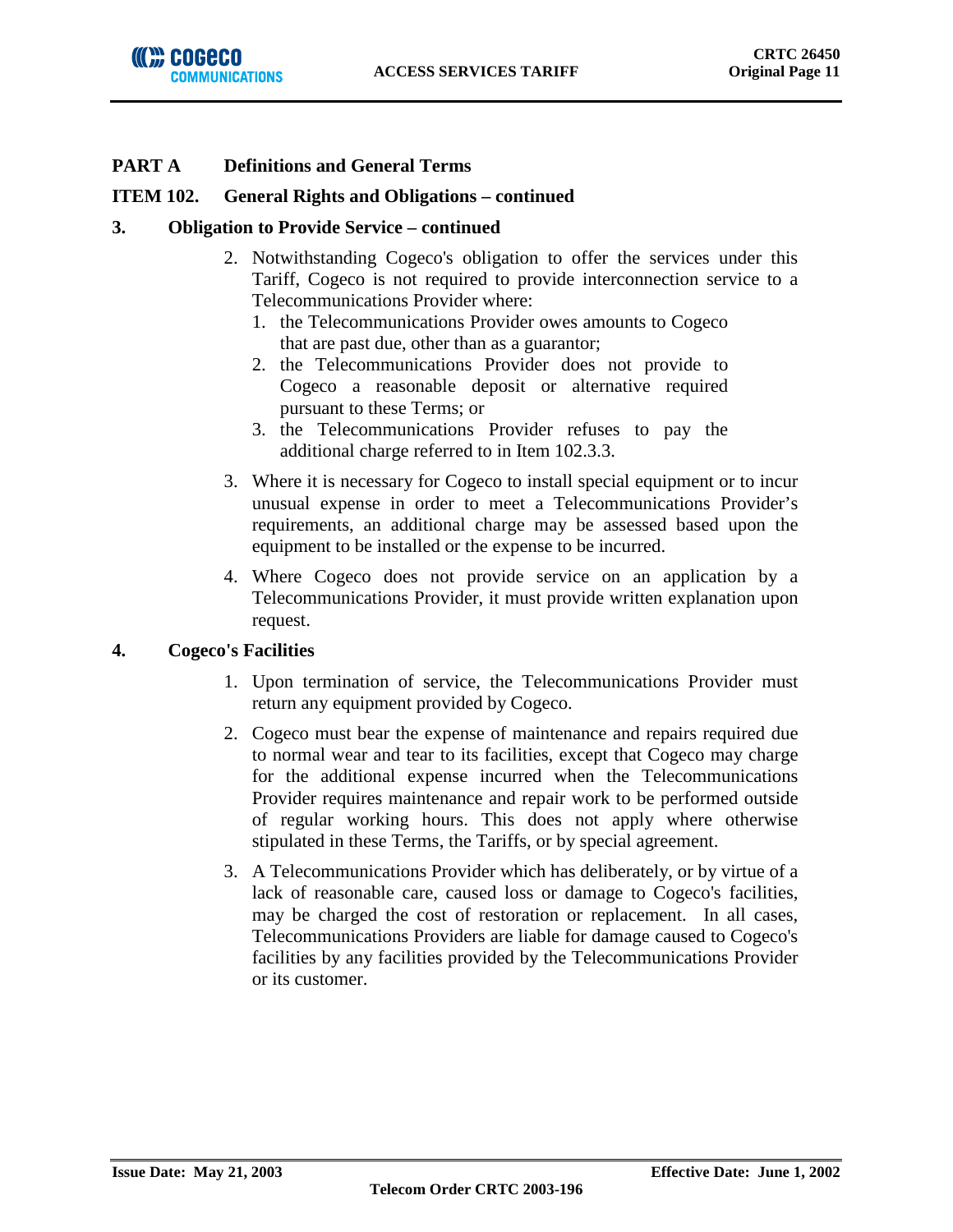## **ITEM 102. General Rights and Obligations – continued**

### **3. Obligation to Provide Service – continued**

- 2. Notwithstanding Cogeco's obligation to offer the services under this Tariff, Cogeco is not required to provide interconnection service to a Telecommunications Provider where:
	- 1. the Telecommunications Provider owes amounts to Cogeco that are past due, other than as a guarantor;
	- 2. the Telecommunications Provider does not provide to Cogeco a reasonable deposit or alternative required pursuant to these Terms; or
	- 3. the Telecommunications Provider refuses to pay the additional charge referred to in Item 102.3.3.
- 3. Where it is necessary for Cogeco to install special equipment or to incur unusual expense in order to meet a Telecommunications Provider's requirements, an additional charge may be assessed based upon the equipment to be installed or the expense to be incurred.
- 4. Where Cogeco does not provide service on an application by a Telecommunications Provider, it must provide written explanation upon request.

## **4. Cogeco's Facilities**

- 1. Upon termination of service, the Telecommunications Provider must return any equipment provided by Cogeco.
- 2. Cogeco must bear the expense of maintenance and repairs required due to normal wear and tear to its facilities, except that Cogeco may charge for the additional expense incurred when the Telecommunications Provider requires maintenance and repair work to be performed outside of regular working hours. This does not apply where otherwise stipulated in these Terms, the Tariffs, or by special agreement.
- 3. A Telecommunications Provider which has deliberately, or by virtue of a lack of reasonable care, caused loss or damage to Cogeco's facilities, may be charged the cost of restoration or replacement. In all cases, Telecommunications Providers are liable for damage caused to Cogeco's facilities by any facilities provided by the Telecommunications Provider or its customer.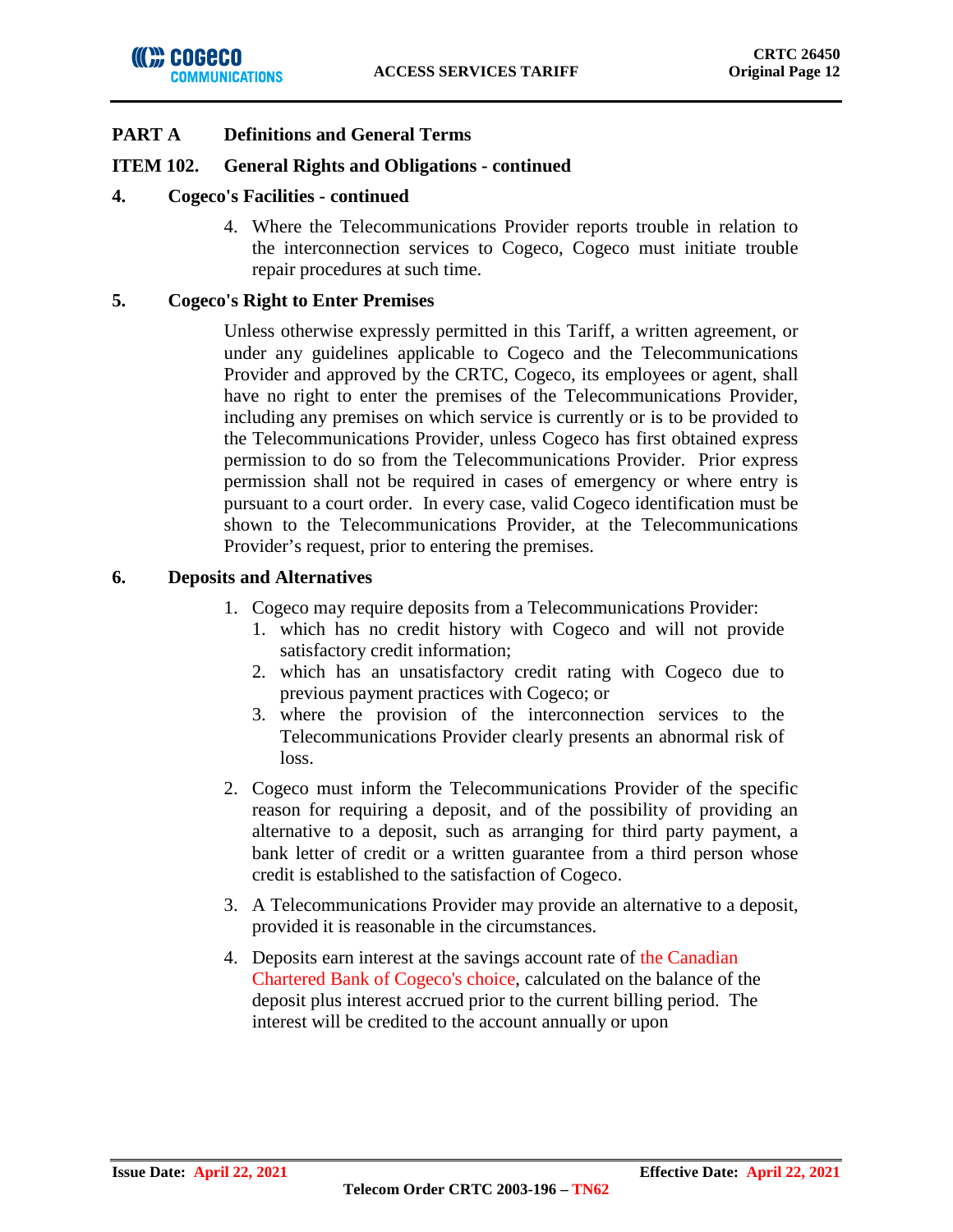

### **ITEM 102. General Rights and Obligations - continued**

### **4. Cogeco's Facilities - continued**

4. Where the Telecommunications Provider reports trouble in relation to the interconnection services to Cogeco, Cogeco must initiate trouble repair procedures at such time.

### **5. Cogeco's Right to Enter Premises**

Unless otherwise expressly permitted in this Tariff, a written agreement, or under any guidelines applicable to Cogeco and the Telecommunications Provider and approved by the CRTC, Cogeco, its employees or agent, shall have no right to enter the premises of the Telecommunications Provider, including any premises on which service is currently or is to be provided to the Telecommunications Provider, unless Cogeco has first obtained express permission to do so from the Telecommunications Provider. Prior express permission shall not be required in cases of emergency or where entry is pursuant to a court order. In every case, valid Cogeco identification must be shown to the Telecommunications Provider, at the Telecommunications Provider's request, prior to entering the premises.

### **6. Deposits and Alternatives**

- 1. Cogeco may require deposits from a Telecommunications Provider:
	- 1. which has no credit history with Cogeco and will not provide satisfactory credit information;
	- 2. which has an unsatisfactory credit rating with Cogeco due to previous payment practices with Cogeco; or
	- 3. where the provision of the interconnection services to the Telecommunications Provider clearly presents an abnormal risk of loss.
- 2. Cogeco must inform the Telecommunications Provider of the specific reason for requiring a deposit, and of the possibility of providing an alternative to a deposit, such as arranging for third party payment, a bank letter of credit or a written guarantee from a third person whose credit is established to the satisfaction of Cogeco.
- 3. A Telecommunications Provider may provide an alternative to a deposit, provided it is reasonable in the circumstances.
- 4. Deposits earn interest at the savings account rate of the Canadian Chartered Bank of Cogeco's choice, calculated on the balance of the deposit plus interest accrued prior to the current billing period. The interest will be credited to the account annually or upon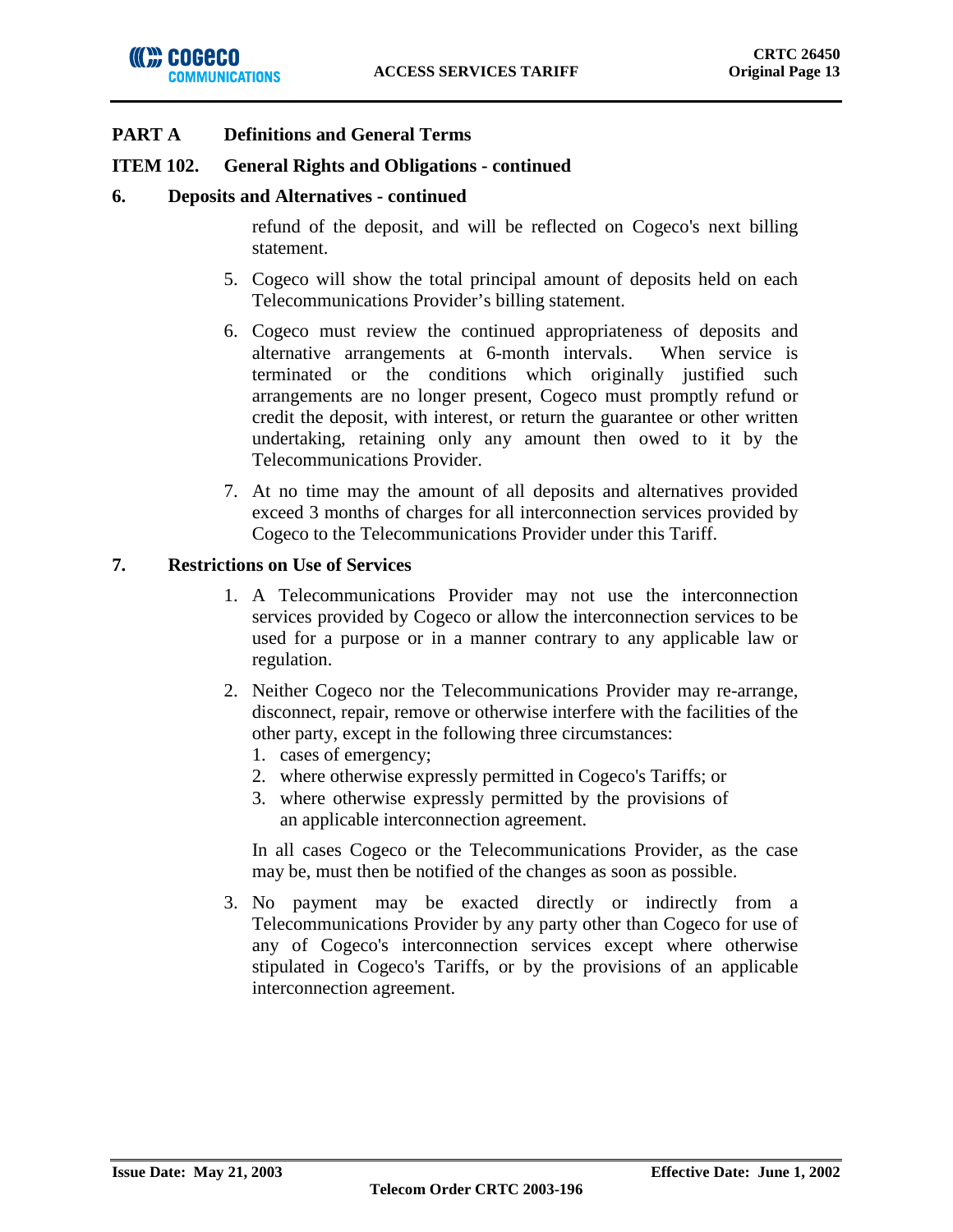### **ITEM 102. General Rights and Obligations - continued**

#### **6. Deposits and Alternatives - continued**

refund of the deposit, and will be reflected on Cogeco's next billing statement.

- 5. Cogeco will show the total principal amount of deposits held on each Telecommunications Provider's billing statement.
- 6. Cogeco must review the continued appropriateness of deposits and alternative arrangements at 6-month intervals. When service is terminated or the conditions which originally justified such arrangements are no longer present, Cogeco must promptly refund or credit the deposit, with interest, or return the guarantee or other written undertaking, retaining only any amount then owed to it by the Telecommunications Provider.
- 7. At no time may the amount of all deposits and alternatives provided exceed 3 months of charges for all interconnection services provided by Cogeco to the Telecommunications Provider under this Tariff.

### **7. Restrictions on Use of Services**

- 1. A Telecommunications Provider may not use the interconnection services provided by Cogeco or allow the interconnection services to be used for a purpose or in a manner contrary to any applicable law or regulation.
- 2. Neither Cogeco nor the Telecommunications Provider may re-arrange, disconnect, repair, remove or otherwise interfere with the facilities of the other party, except in the following three circumstances:
	- 1. cases of emergency;
	- 2. where otherwise expressly permitted in Cogeco's Tariffs; or
	- 3. where otherwise expressly permitted by the provisions of an applicable interconnection agreement.

In all cases Cogeco or the Telecommunications Provider, as the case may be, must then be notified of the changes as soon as possible.

3. No payment may be exacted directly or indirectly from a Telecommunications Provider by any party other than Cogeco for use of any of Cogeco's interconnection services except where otherwise stipulated in Cogeco's Tariffs, or by the provisions of an applicable interconnection agreement.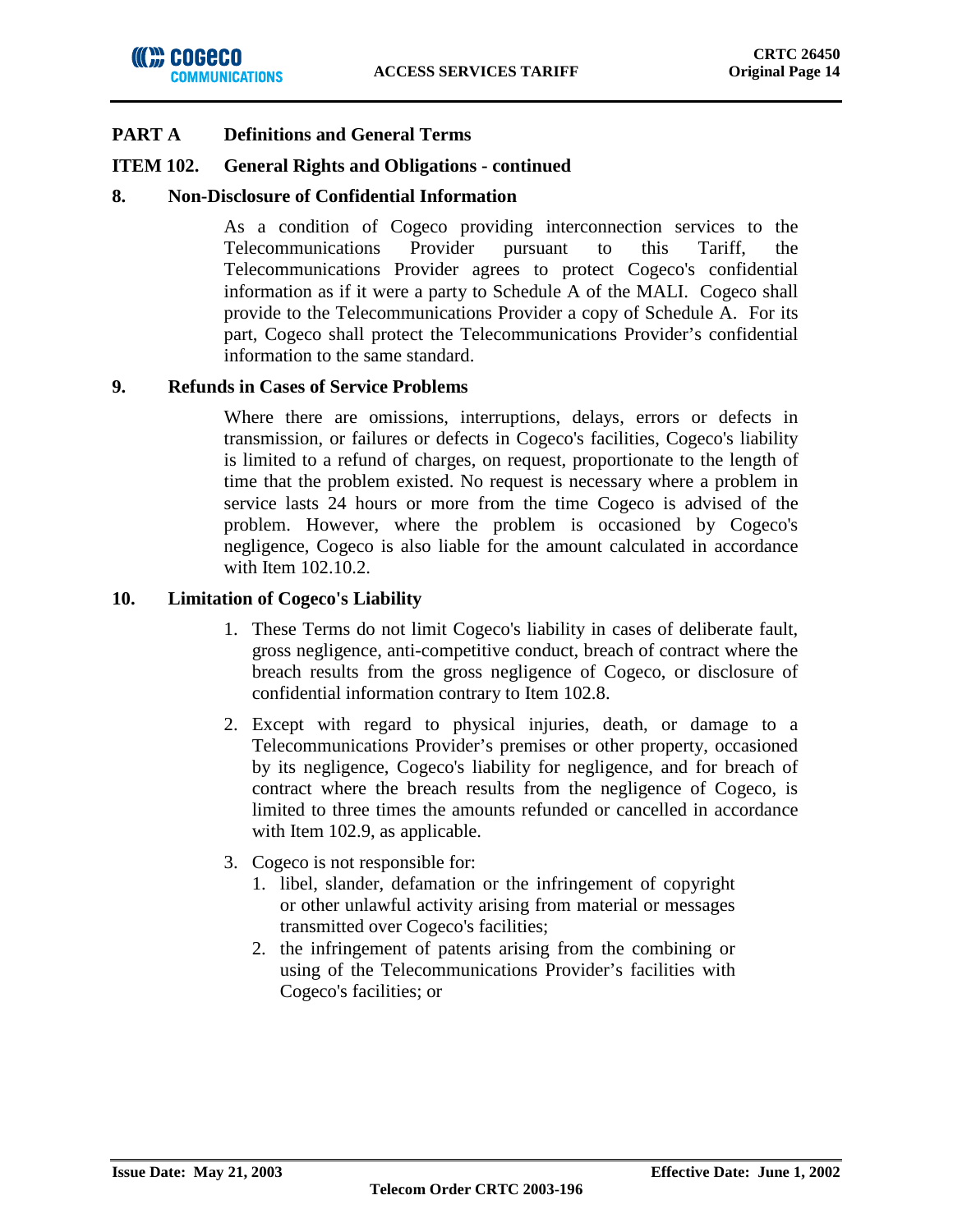

### **ITEM 102. General Rights and Obligations - continued**

### **8. Non-Disclosure of Confidential Information**

As a condition of Cogeco providing interconnection services to the Telecommunications Provider pursuant to this Tariff, the Telecommunications Provider agrees to protect Cogeco's confidential information as if it were a party to Schedule A of the MALI. Cogeco shall provide to the Telecommunications Provider a copy of Schedule A. For its part, Cogeco shall protect the Telecommunications Provider's confidential information to the same standard.

### **9. Refunds in Cases of Service Problems**

Where there are omissions, interruptions, delays, errors or defects in transmission, or failures or defects in Cogeco's facilities, Cogeco's liability is limited to a refund of charges, on request, proportionate to the length of time that the problem existed. No request is necessary where a problem in service lasts 24 hours or more from the time Cogeco is advised of the problem. However, where the problem is occasioned by Cogeco's negligence, Cogeco is also liable for the amount calculated in accordance with Item 102.10.2.

### **10. Limitation of Cogeco's Liability**

- 1. These Terms do not limit Cogeco's liability in cases of deliberate fault, gross negligence, anti-competitive conduct, breach of contract where the breach results from the gross negligence of Cogeco, or disclosure of confidential information contrary to Item 102.8.
- 2. Except with regard to physical injuries, death, or damage to a Telecommunications Provider's premises or other property, occasioned by its negligence, Cogeco's liability for negligence, and for breach of contract where the breach results from the negligence of Cogeco, is limited to three times the amounts refunded or cancelled in accordance with Item 102.9, as applicable.
- 3. Cogeco is not responsible for:
	- 1. libel, slander, defamation or the infringement of copyright or other unlawful activity arising from material or messages transmitted over Cogeco's facilities;
	- 2. the infringement of patents arising from the combining or using of the Telecommunications Provider's facilities with Cogeco's facilities; or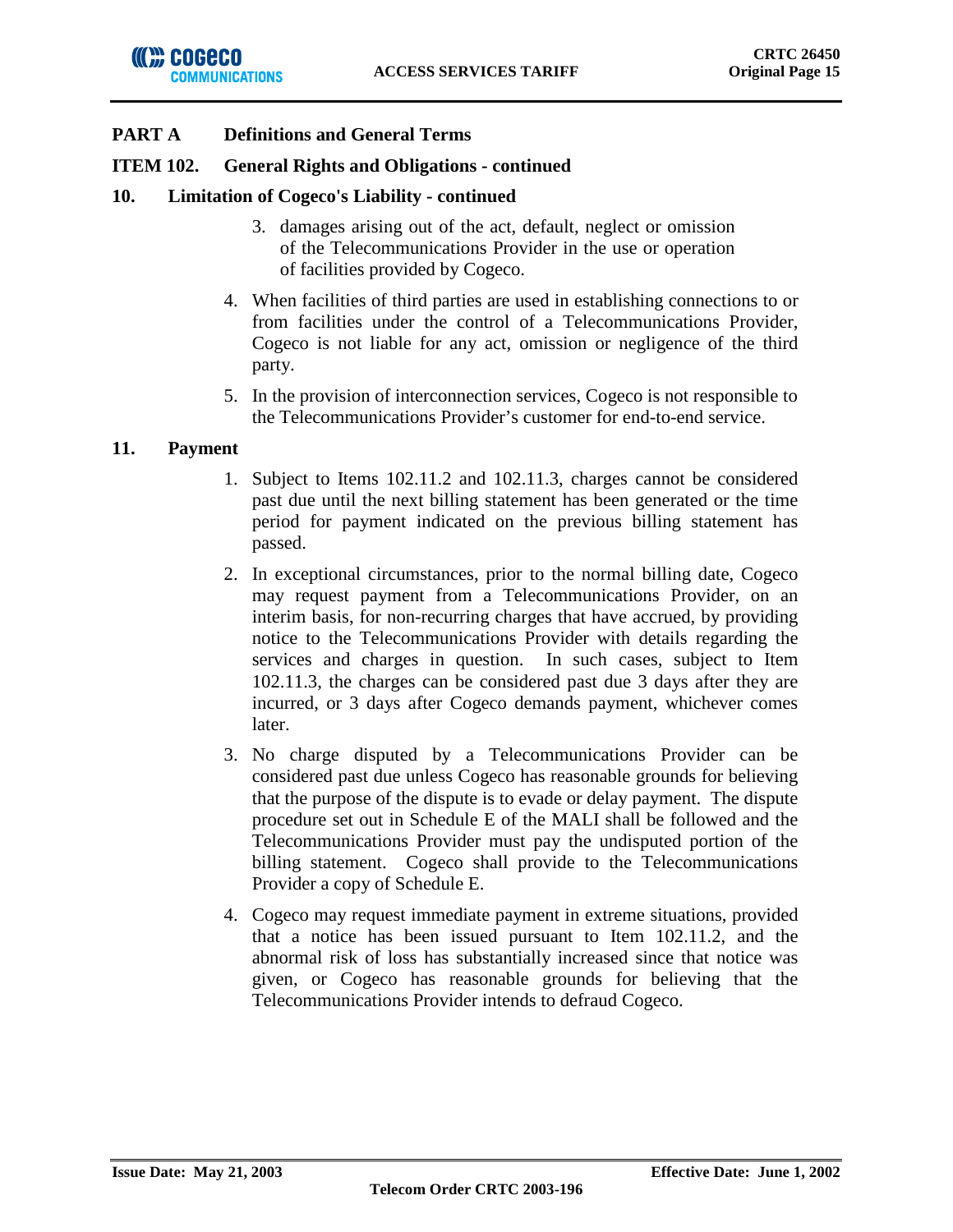### **ITEM 102. General Rights and Obligations - continued**

### **10. Limitation of Cogeco's Liability - continued**

- 3. damages arising out of the act, default, neglect or omission of the Telecommunications Provider in the use or operation of facilities provided by Cogeco.
- 4. When facilities of third parties are used in establishing connections to or from facilities under the control of a Telecommunications Provider, Cogeco is not liable for any act, omission or negligence of the third party.
- 5. In the provision of interconnection services, Cogeco is not responsible to the Telecommunications Provider's customer for end-to-end service.

## **11. Payment**

- 1. Subject to Items 102.11.2 and 102.11.3, charges cannot be considered past due until the next billing statement has been generated or the time period for payment indicated on the previous billing statement has passed.
- 2. In exceptional circumstances, prior to the normal billing date, Cogeco may request payment from a Telecommunications Provider, on an interim basis, for non-recurring charges that have accrued, by providing notice to the Telecommunications Provider with details regarding the services and charges in question. In such cases, subject to Item 102.11.3, the charges can be considered past due 3 days after they are incurred, or 3 days after Cogeco demands payment, whichever comes later.
- 3. No charge disputed by a Telecommunications Provider can be considered past due unless Cogeco has reasonable grounds for believing that the purpose of the dispute is to evade or delay payment. The dispute procedure set out in Schedule E of the MALI shall be followed and the Telecommunications Provider must pay the undisputed portion of the billing statement. Cogeco shall provide to the Telecommunications Provider a copy of Schedule E.
- 4. Cogeco may request immediate payment in extreme situations, provided that a notice has been issued pursuant to Item 102.11.2, and the abnormal risk of loss has substantially increased since that notice was given, or Cogeco has reasonable grounds for believing that the Telecommunications Provider intends to defraud Cogeco.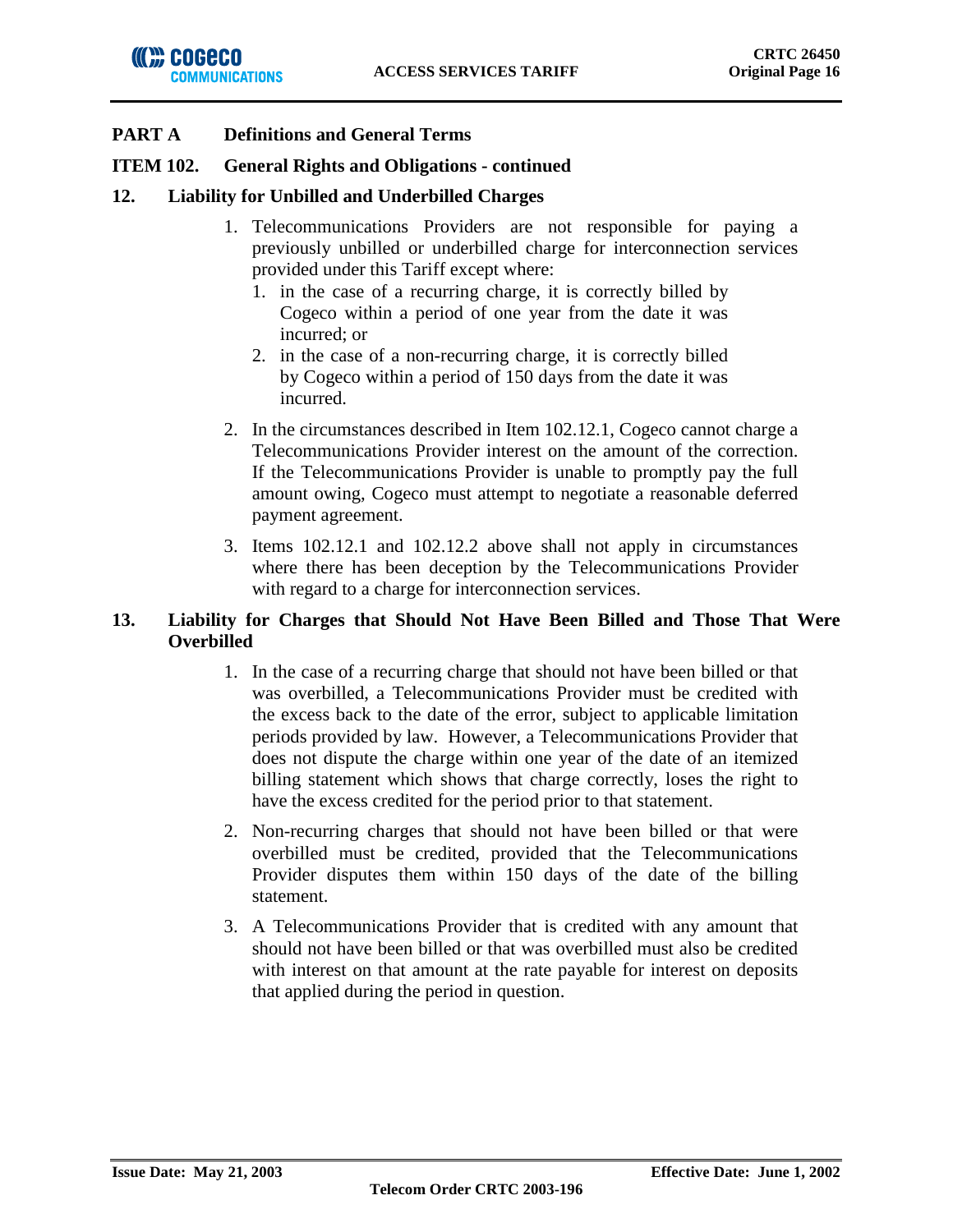## **ITEM 102. General Rights and Obligations - continued**

## **12. Liability for Unbilled and Underbilled Charges**

- 1. Telecommunications Providers are not responsible for paying a previously unbilled or underbilled charge for interconnection services provided under this Tariff except where:
	- 1. in the case of a recurring charge, it is correctly billed by Cogeco within a period of one year from the date it was incurred; or
	- 2. in the case of a non-recurring charge, it is correctly billed by Cogeco within a period of 150 days from the date it was incurred.
- 2. In the circumstances described in Item 102.12.1, Cogeco cannot charge a Telecommunications Provider interest on the amount of the correction. If the Telecommunications Provider is unable to promptly pay the full amount owing, Cogeco must attempt to negotiate a reasonable deferred payment agreement.
- 3. Items 102.12.1 and 102.12.2 above shall not apply in circumstances where there has been deception by the Telecommunications Provider with regard to a charge for interconnection services.

## **13. Liability for Charges that Should Not Have Been Billed and Those That Were Overbilled**

- 1. In the case of a recurring charge that should not have been billed or that was overbilled, a Telecommunications Provider must be credited with the excess back to the date of the error, subject to applicable limitation periods provided by law. However, a Telecommunications Provider that does not dispute the charge within one year of the date of an itemized billing statement which shows that charge correctly, loses the right to have the excess credited for the period prior to that statement.
- 2. Non-recurring charges that should not have been billed or that were overbilled must be credited, provided that the Telecommunications Provider disputes them within 150 days of the date of the billing statement.
- 3. A Telecommunications Provider that is credited with any amount that should not have been billed or that was overbilled must also be credited with interest on that amount at the rate payable for interest on deposits that applied during the period in question.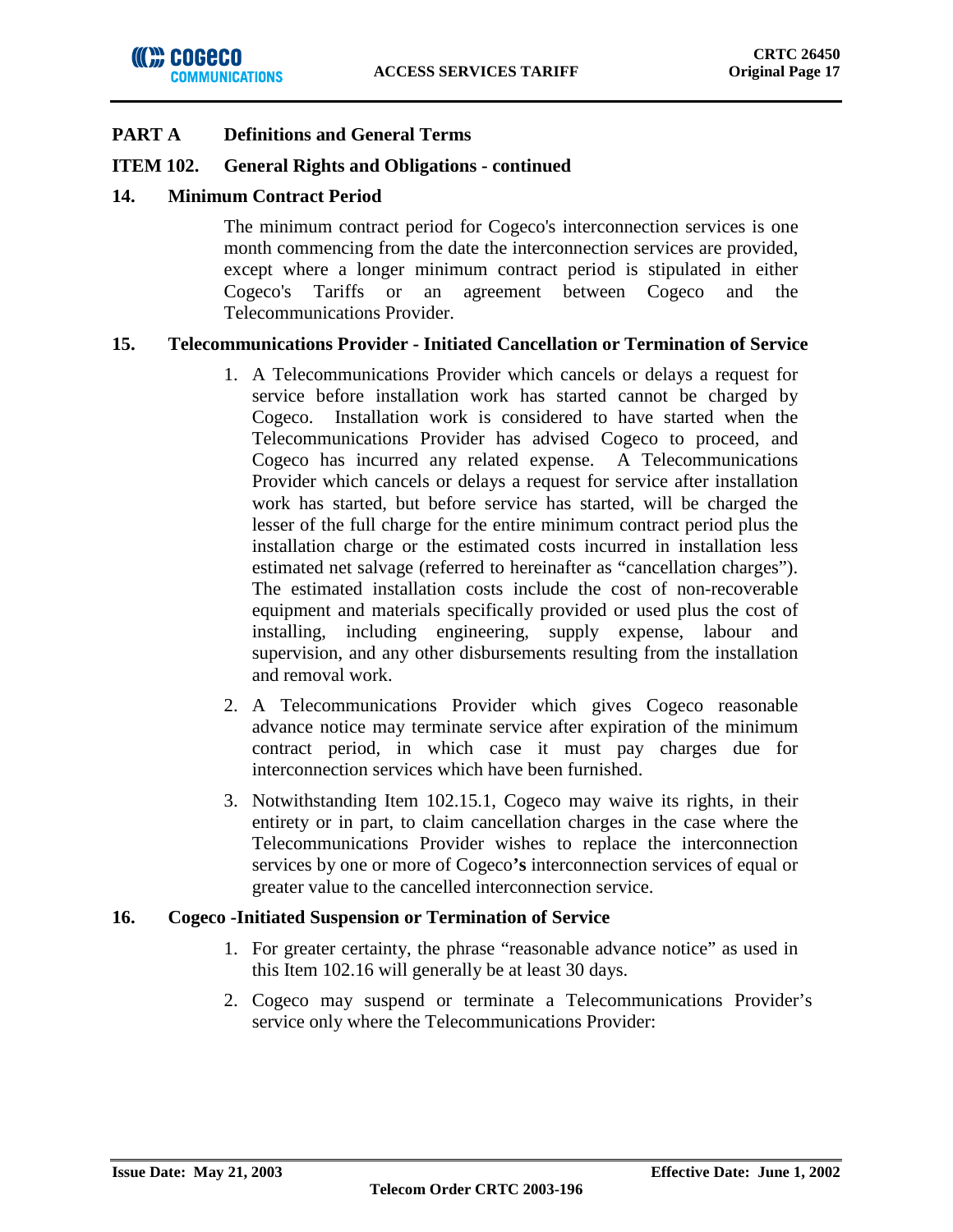## **ITEM 102. General Rights and Obligations - continued**

## **14. Minimum Contract Period**

The minimum contract period for Cogeco's interconnection services is one month commencing from the date the interconnection services are provided, except where a longer minimum contract period is stipulated in either Cogeco's Tariffs or an agreement between Cogeco and the Telecommunications Provider.

## **15. Telecommunications Provider - Initiated Cancellation or Termination of Service**

- 1. A Telecommunications Provider which cancels or delays a request for service before installation work has started cannot be charged by Cogeco. Installation work is considered to have started when the Telecommunications Provider has advised Cogeco to proceed, and Cogeco has incurred any related expense. A Telecommunications Provider which cancels or delays a request for service after installation work has started, but before service has started, will be charged the lesser of the full charge for the entire minimum contract period plus the installation charge or the estimated costs incurred in installation less estimated net salvage (referred to hereinafter as "cancellation charges"). The estimated installation costs include the cost of non-recoverable equipment and materials specifically provided or used plus the cost of installing, including engineering, supply expense, labour and supervision, and any other disbursements resulting from the installation and removal work.
- 2. A Telecommunications Provider which gives Cogeco reasonable advance notice may terminate service after expiration of the minimum contract period, in which case it must pay charges due for interconnection services which have been furnished.
- 3. Notwithstanding Item 102.15.1, Cogeco may waive its rights, in their entirety or in part, to claim cancellation charges in the case where the Telecommunications Provider wishes to replace the interconnection services by one or more of Cogeco**'s** interconnection services of equal or greater value to the cancelled interconnection service.

### **16. Cogeco -Initiated Suspension or Termination of Service**

- 1. For greater certainty, the phrase "reasonable advance notice" as used in this Item 102.16 will generally be at least 30 days.
- 2. Cogeco may suspend or terminate a Telecommunications Provider's service only where the Telecommunications Provider: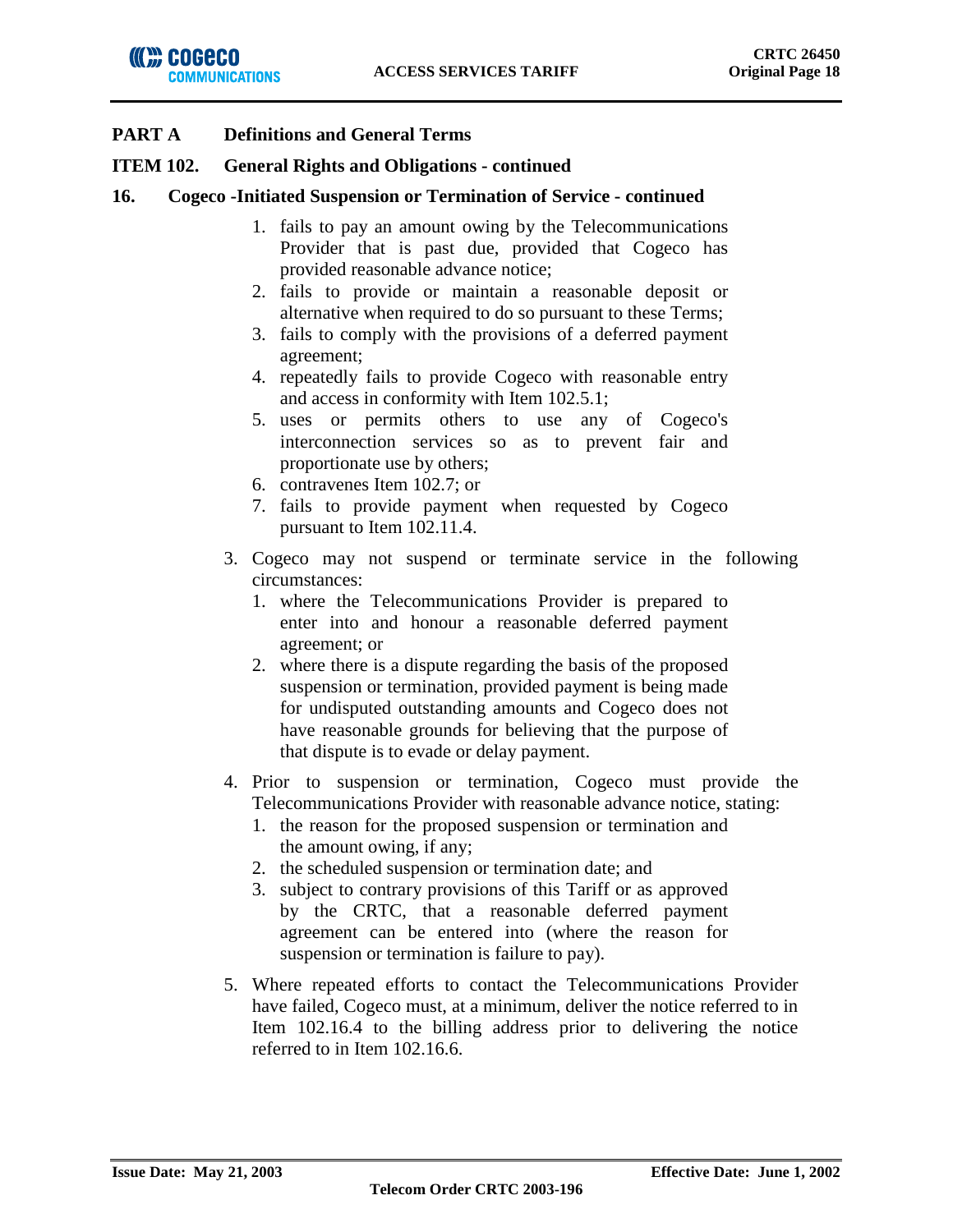### **ITEM 102. General Rights and Obligations - continued**

### **16. Cogeco -Initiated Suspension or Termination of Service - continued**

- 1. fails to pay an amount owing by the Telecommunications Provider that is past due, provided that Cogeco has provided reasonable advance notice;
- 2. fails to provide or maintain a reasonable deposit or alternative when required to do so pursuant to these Terms;
- 3. fails to comply with the provisions of a deferred payment agreement;
- 4. repeatedly fails to provide Cogeco with reasonable entry and access in conformity with Item 102.5.1;
- 5. uses or permits others to use any of Cogeco's interconnection services so as to prevent fair and proportionate use by others;
- 6. contravenes Item 102.7; or
- 7. fails to provide payment when requested by Cogeco pursuant to Item 102.11.4.
- 3. Cogeco may not suspend or terminate service in the following circumstances:
	- 1. where the Telecommunications Provider is prepared to enter into and honour a reasonable deferred payment agreement; or
	- 2. where there is a dispute regarding the basis of the proposed suspension or termination, provided payment is being made for undisputed outstanding amounts and Cogeco does not have reasonable grounds for believing that the purpose of that dispute is to evade or delay payment.
- 4. Prior to suspension or termination, Cogeco must provide the Telecommunications Provider with reasonable advance notice, stating:
	- 1. the reason for the proposed suspension or termination and the amount owing, if any;
	- 2. the scheduled suspension or termination date; and
	- 3. subject to contrary provisions of this Tariff or as approved by the CRTC, that a reasonable deferred payment agreement can be entered into (where the reason for suspension or termination is failure to pay).
- 5. Where repeated efforts to contact the Telecommunications Provider have failed, Cogeco must, at a minimum, deliver the notice referred to in Item 102.16.4 to the billing address prior to delivering the notice referred to in Item 102.16.6.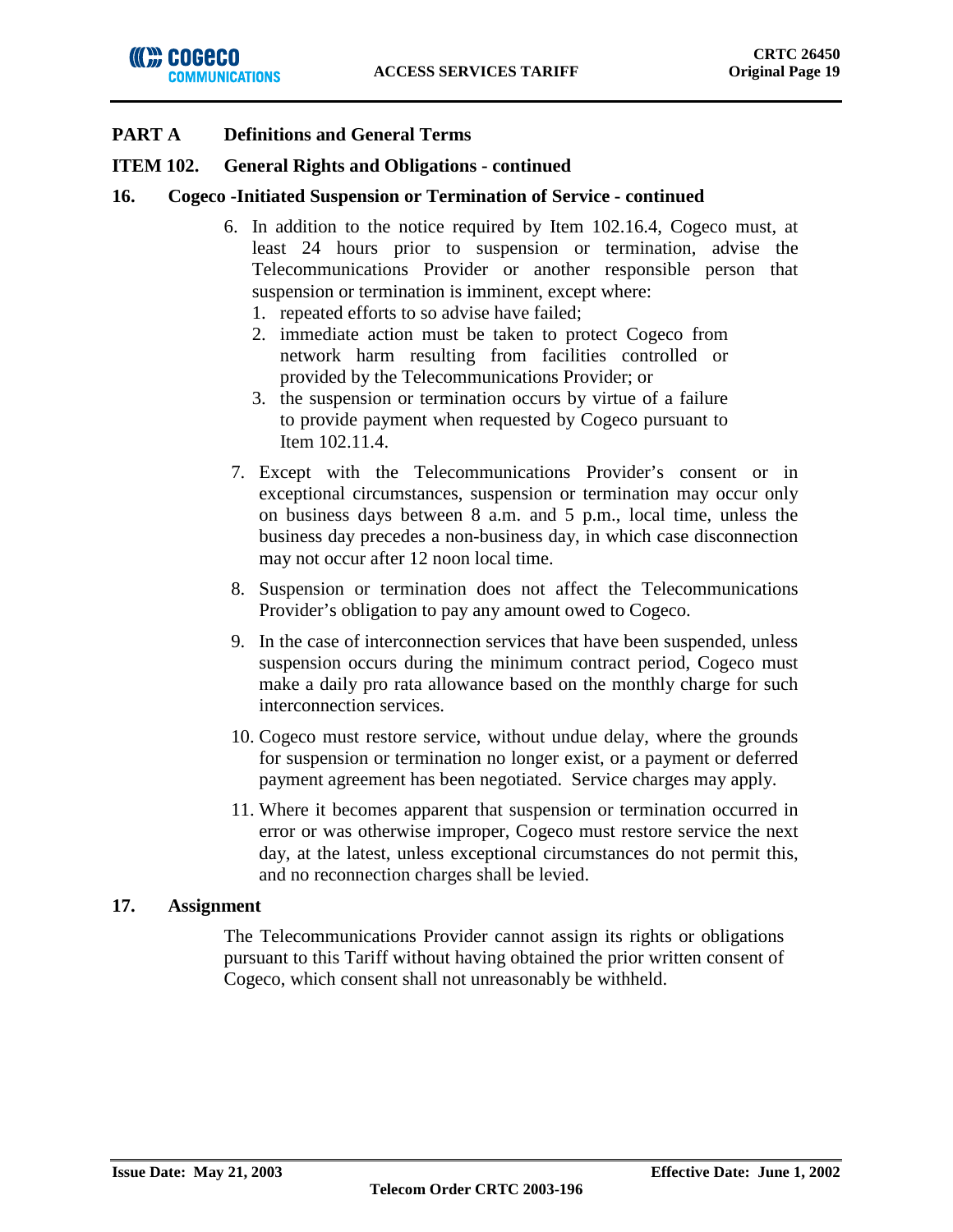### **ITEM 102. General Rights and Obligations - continued**

### **16. Cogeco -Initiated Suspension or Termination of Service - continued**

- 6. In addition to the notice required by Item 102.16.4, Cogeco must, at least 24 hours prior to suspension or termination, advise the Telecommunications Provider or another responsible person that suspension or termination is imminent, except where:
	- 1. repeated efforts to so advise have failed;
	- 2. immediate action must be taken to protect Cogeco from network harm resulting from facilities controlled or provided by the Telecommunications Provider; or
	- 3. the suspension or termination occurs by virtue of a failure to provide payment when requested by Cogeco pursuant to Item 102.11.4.
- 7. Except with the Telecommunications Provider's consent or in exceptional circumstances, suspension or termination may occur only on business days between 8 a.m. and 5 p.m., local time, unless the business day precedes a non-business day, in which case disconnection may not occur after 12 noon local time.
- 8. Suspension or termination does not affect the Telecommunications Provider's obligation to pay any amount owed to Cogeco.
- 9. In the case of interconnection services that have been suspended, unless suspension occurs during the minimum contract period, Cogeco must make a daily pro rata allowance based on the monthly charge for such interconnection services.
- 10. Cogeco must restore service, without undue delay, where the grounds for suspension or termination no longer exist, or a payment or deferred payment agreement has been negotiated. Service charges may apply.
- 11. Where it becomes apparent that suspension or termination occurred in error or was otherwise improper, Cogeco must restore service the next day, at the latest, unless exceptional circumstances do not permit this, and no reconnection charges shall be levied.

### **17. Assignment**

The Telecommunications Provider cannot assign its rights or obligations pursuant to this Tariff without having obtained the prior written consent of Cogeco, which consent shall not unreasonably be withheld.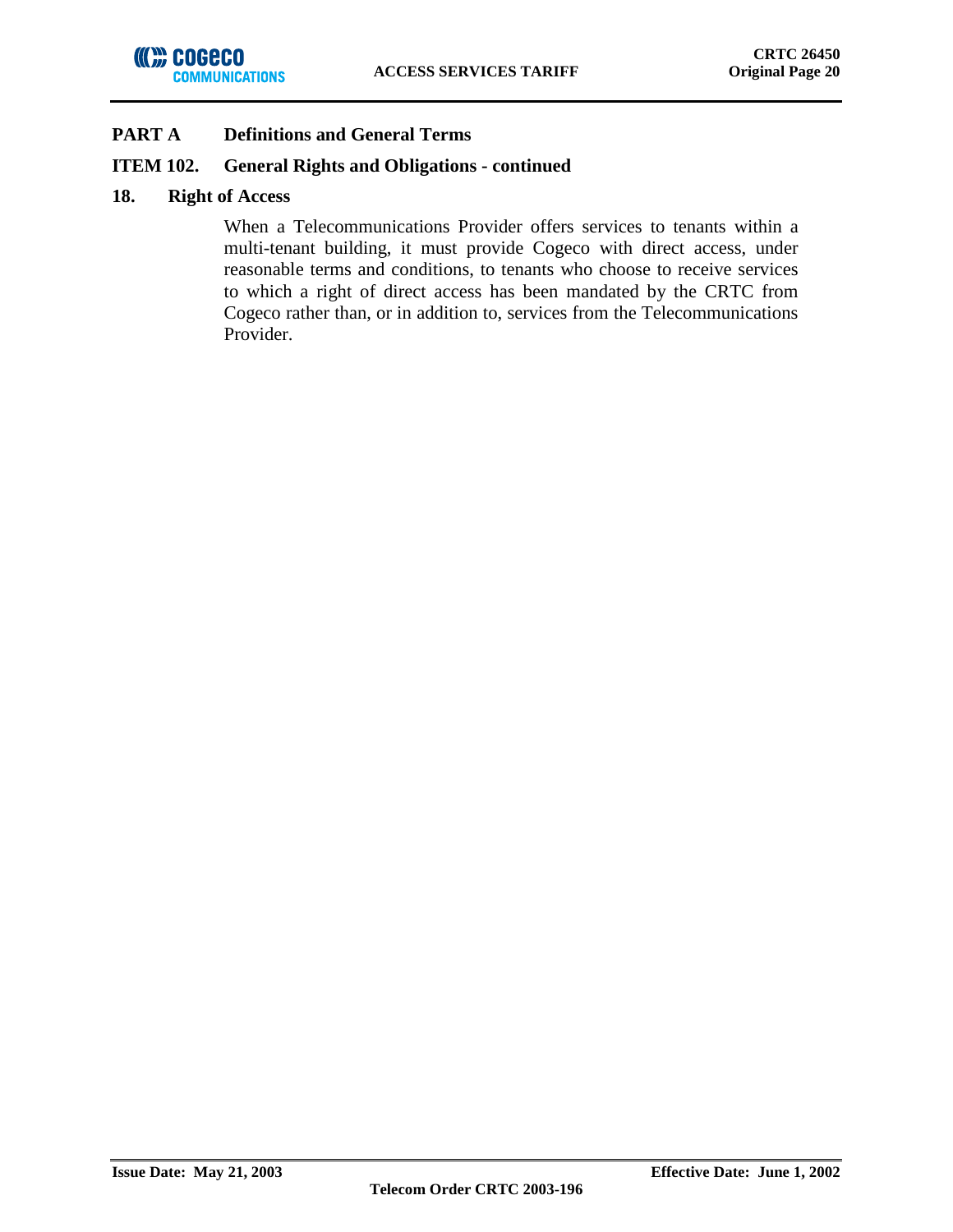## **ITEM 102. General Rights and Obligations - continued**

### **18. Right of Access**

When a Telecommunications Provider offers services to tenants within a multi-tenant building, it must provide Cogeco with direct access, under reasonable terms and conditions, to tenants who choose to receive services to which a right of direct access has been mandated by the CRTC from Cogeco rather than, or in addition to, services from the Telecommunications Provider.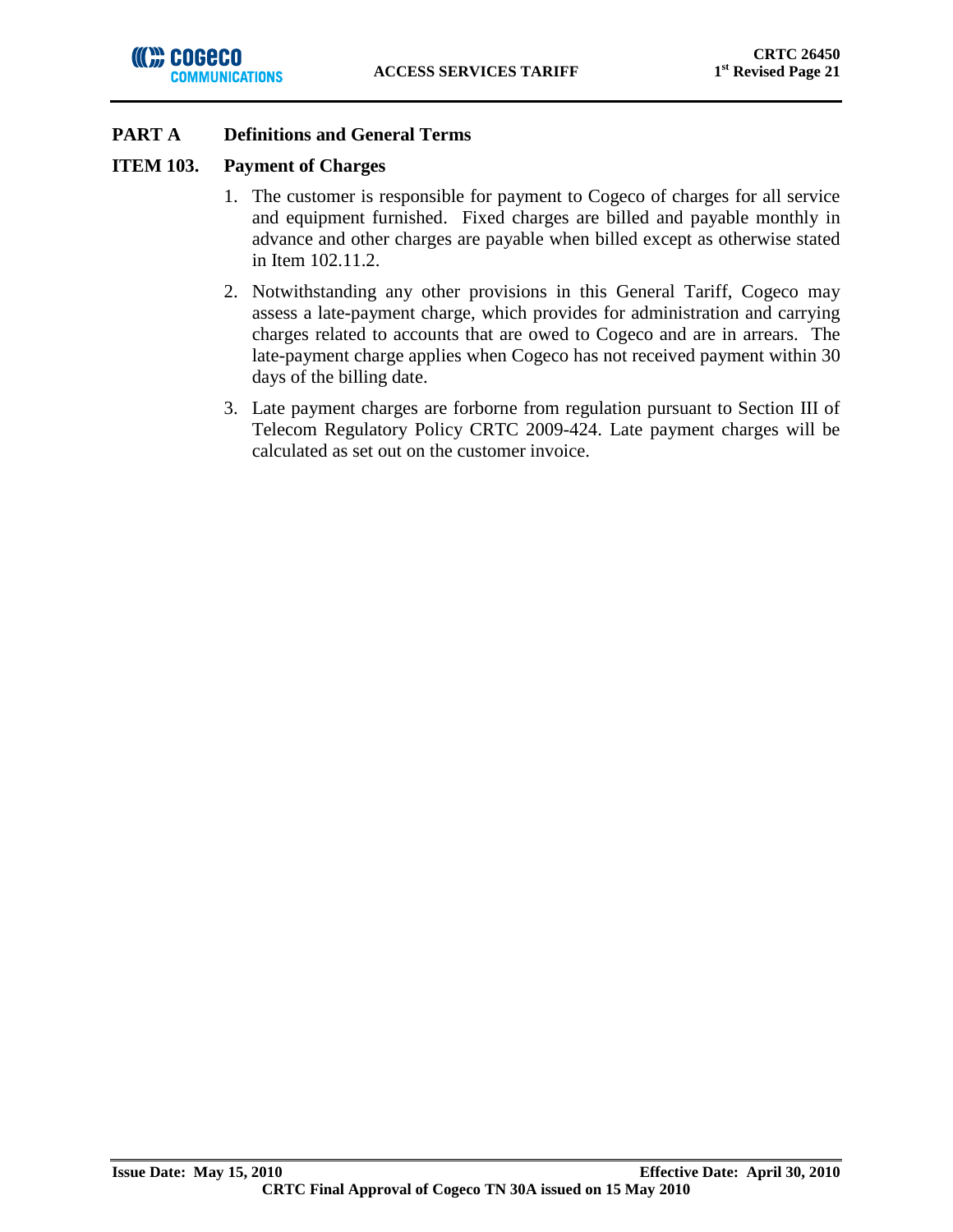

## **ITEM 103. Payment of Charges**

- 1. The customer is responsible for payment to Cogeco of charges for all service and equipment furnished. Fixed charges are billed and payable monthly in advance and other charges are payable when billed except as otherwise stated in Item 102.11.2.
- 2. Notwithstanding any other provisions in this General Tariff, Cogeco may assess a late-payment charge, which provides for administration and carrying charges related to accounts that are owed to Cogeco and are in arrears. The late-payment charge applies when Cogeco has not received payment within 30 days of the billing date.
- 3. Late payment charges are forborne from regulation pursuant to Section III of Telecom Regulatory Policy CRTC 2009-424. Late payment charges will be calculated as set out on the customer invoice.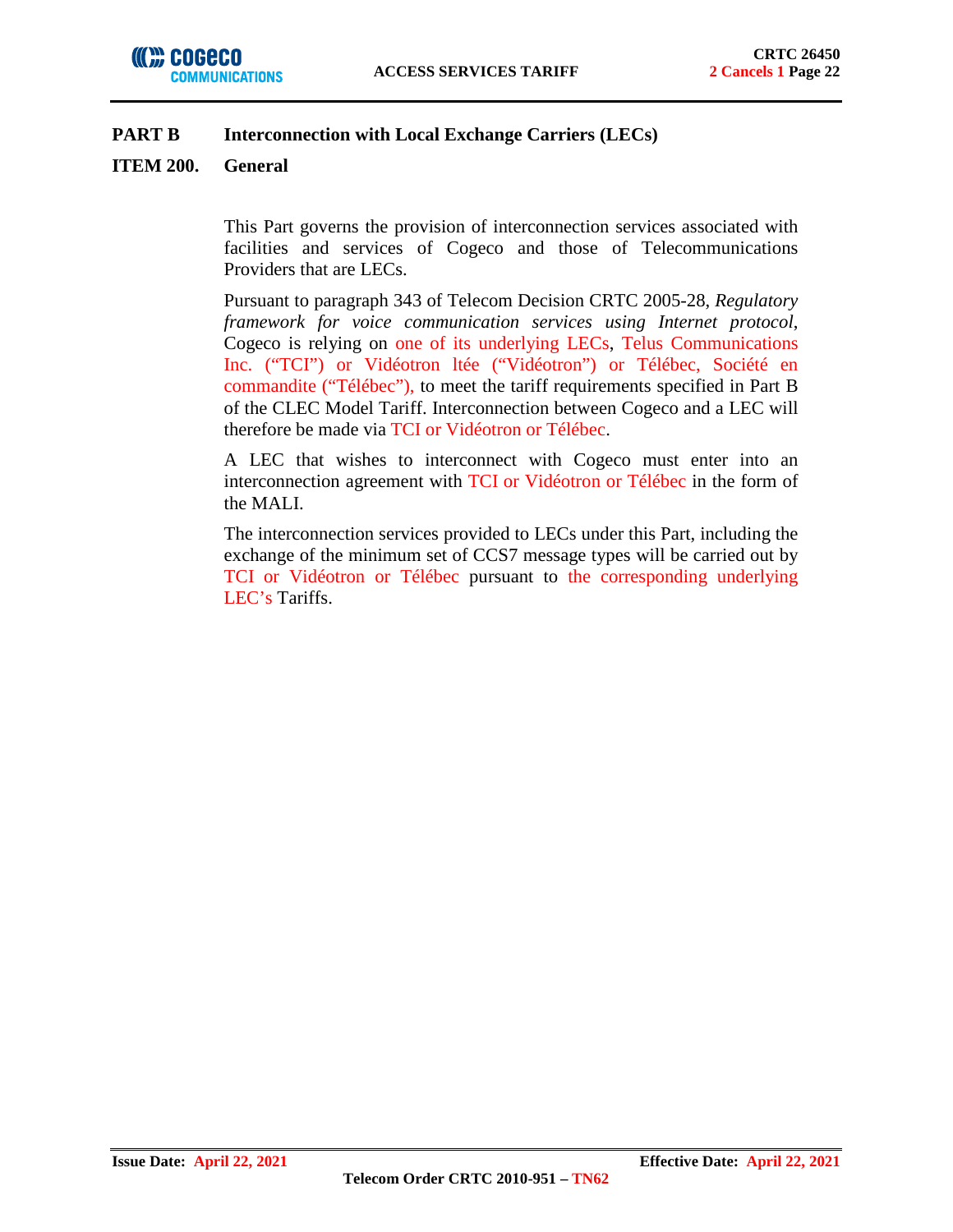### **ITEM 200. General**

This Part governs the provision of interconnection services associated with facilities and services of Cogeco and those of Telecommunications Providers that are LECs.

Pursuant to paragraph 343 of Telecom Decision CRTC 2005-28, *Regulatory framework for voice communication services using Internet protocol*, Cogeco is relying on one of its underlying LECs, Telus Communications Inc. ("TCI") or Vidéotron ltée ("Vidéotron") or Télébec, Société en commandite ("Télébec"), to meet the tariff requirements specified in Part B of the CLEC Model Tariff. Interconnection between Cogeco and a LEC will therefore be made via TCI or Vidéotron or Télébec.

A LEC that wishes to interconnect with Cogeco must enter into an interconnection agreement with TCI or Vidéotron or Télébec in the form of the MALI.

The interconnection services provided to LECs under this Part, including the exchange of the minimum set of CCS7 message types will be carried out by TCI or Vidéotron or Télébec pursuant to the corresponding underlying LEC's Tariffs.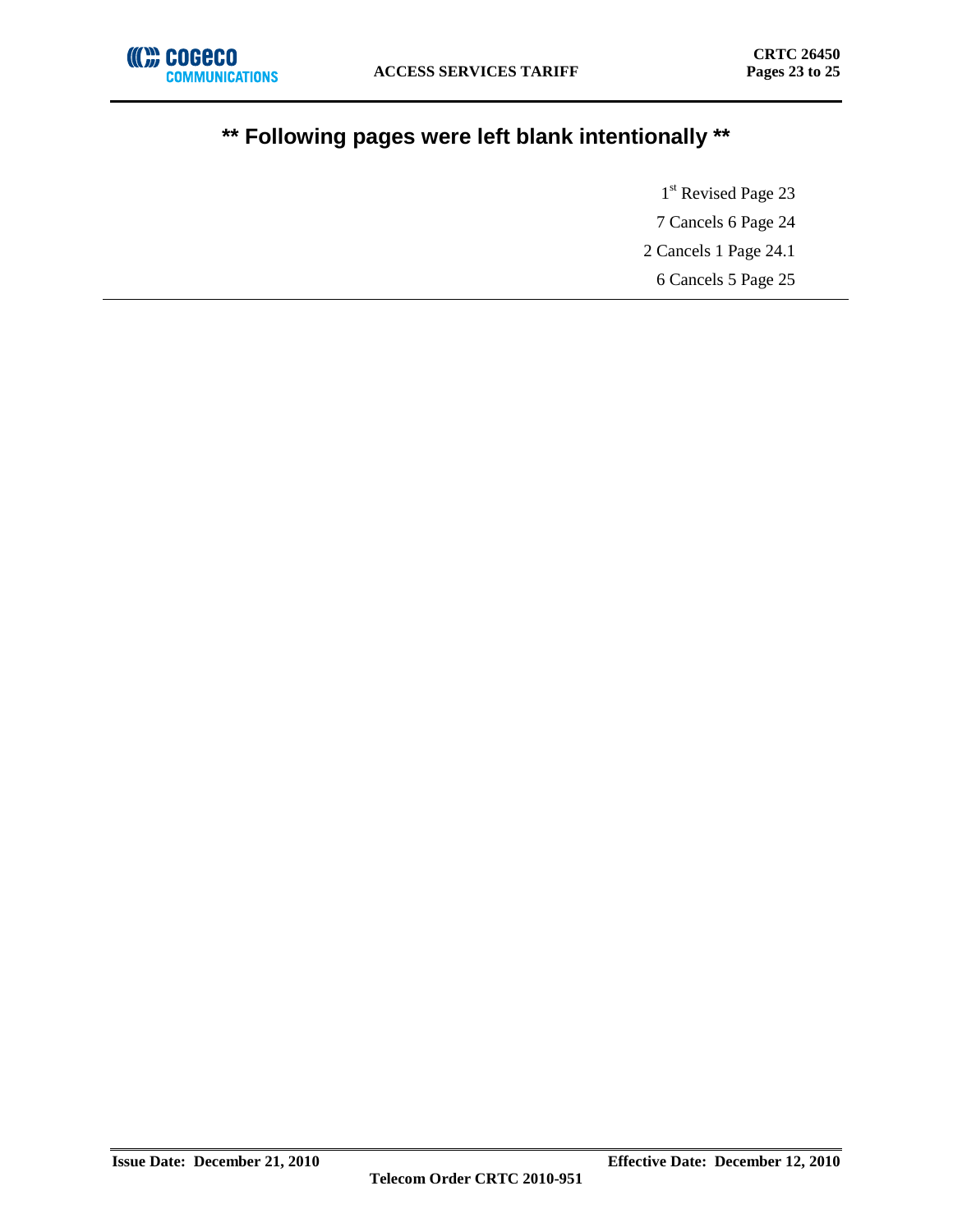

# **\*\* Following pages were left blank intentionally \*\***

1<sup>st</sup> Revised Page 23 7 Cancels 6 Page 24 2 Cancels 1 Page 24.1 6 Cancels 5 Page 25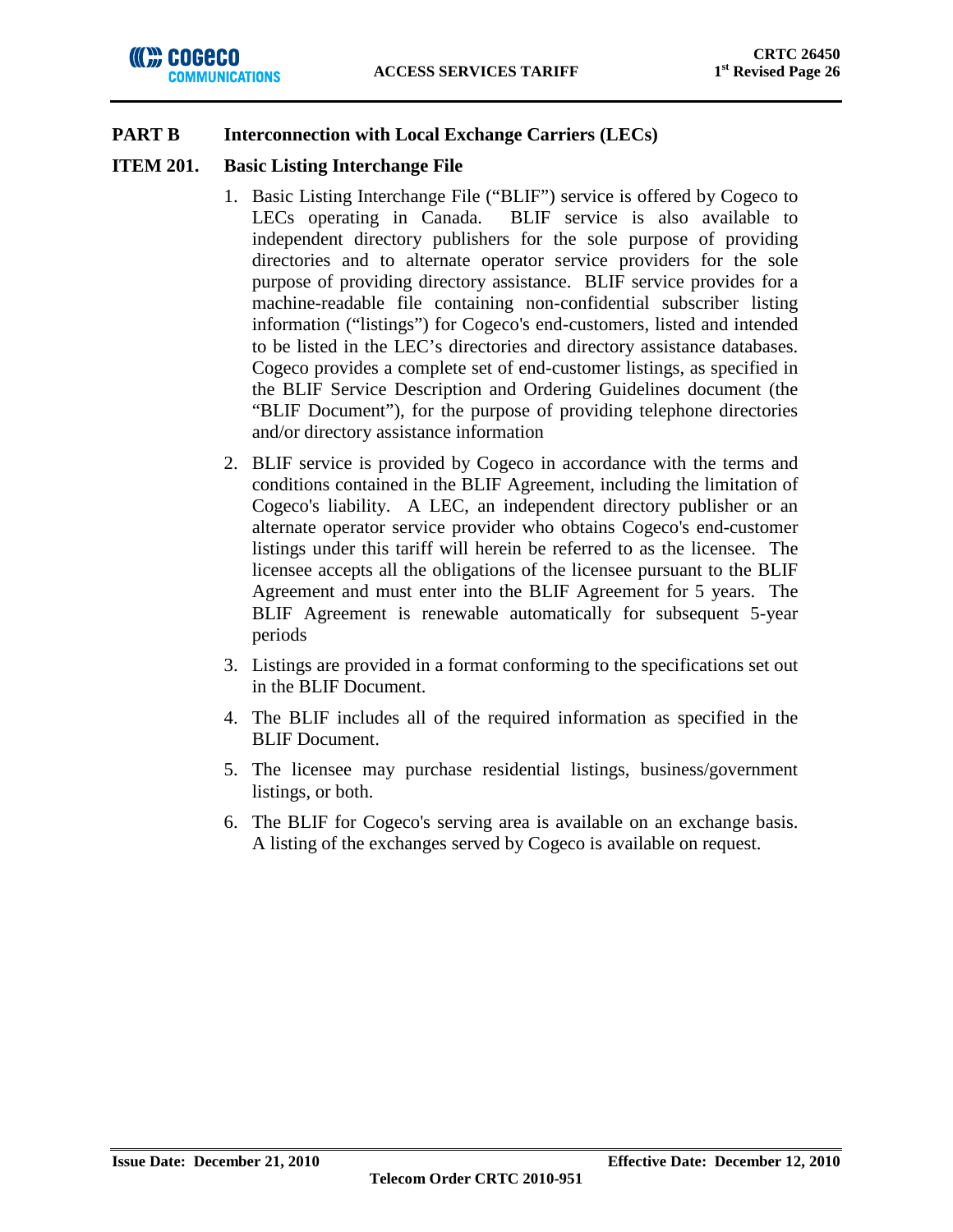### **ITEM 201. Basic Listing Interchange File**

- 1. Basic Listing Interchange File ("BLIF") service is offered by Cogeco to LECs operating in Canada. BLIF service is also available to independent directory publishers for the sole purpose of providing directories and to alternate operator service providers for the sole purpose of providing directory assistance. BLIF service provides for a machine-readable file containing non-confidential subscriber listing information ("listings") for Cogeco's end-customers, listed and intended to be listed in the LEC's directories and directory assistance databases. Cogeco provides a complete set of end-customer listings, as specified in the BLIF Service Description and Ordering Guidelines document (the "BLIF Document"), for the purpose of providing telephone directories and/or directory assistance information
- 2. BLIF service is provided by Cogeco in accordance with the terms and conditions contained in the BLIF Agreement, including the limitation of Cogeco's liability. A LEC, an independent directory publisher or an alternate operator service provider who obtains Cogeco's end-customer listings under this tariff will herein be referred to as the licensee. The licensee accepts all the obligations of the licensee pursuant to the BLIF Agreement and must enter into the BLIF Agreement for 5 years. The BLIF Agreement is renewable automatically for subsequent 5-year periods
- 3. Listings are provided in a format conforming to the specifications set out in the BLIF Document.
- 4. The BLIF includes all of the required information as specified in the BLIF Document.
- 5. The licensee may purchase residential listings, business/government listings, or both.
- 6. The BLIF for Cogeco's serving area is available on an exchange basis. A listing of the exchanges served by Cogeco is available on request.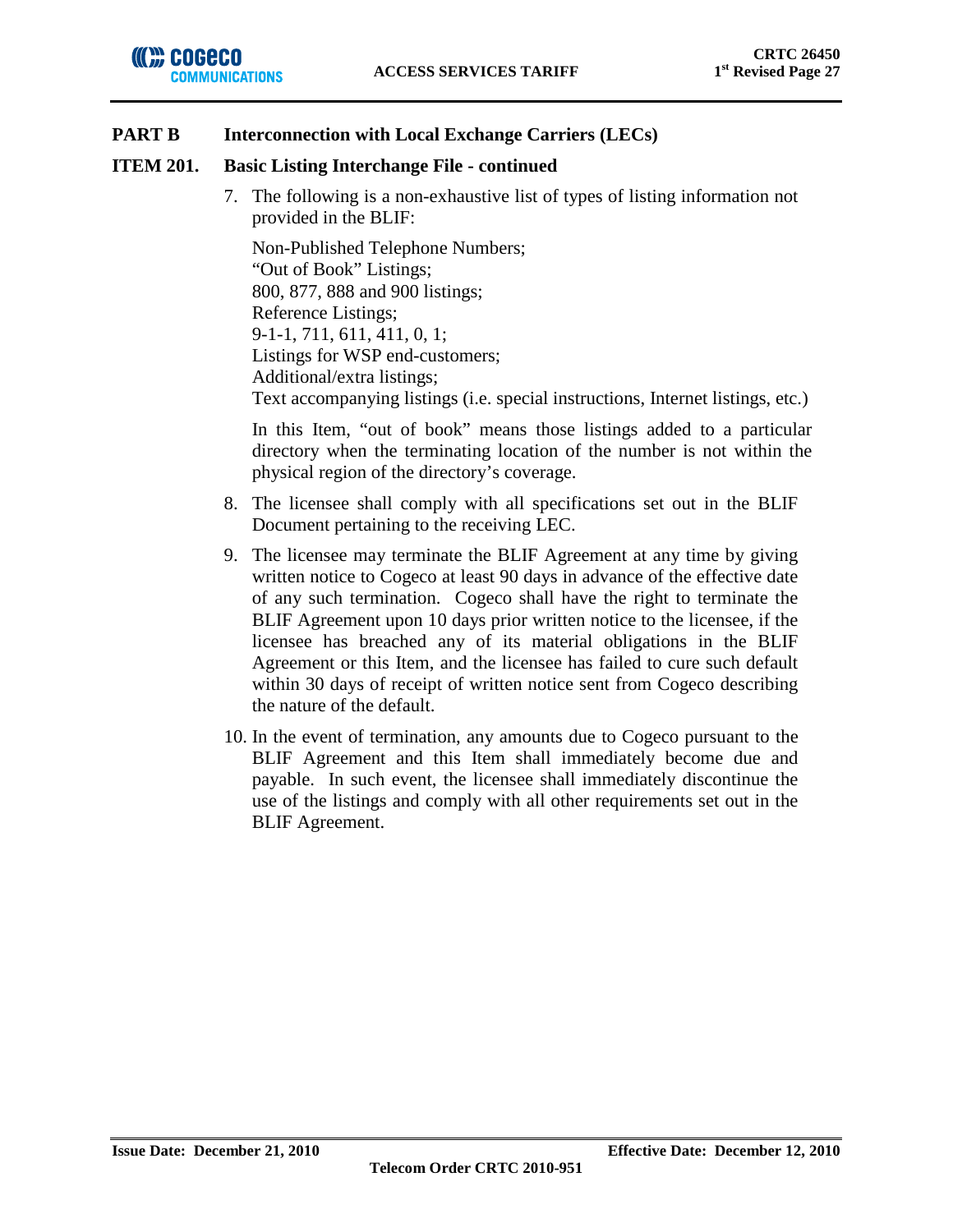### **ITEM 201. Basic Listing Interchange File - continued**

7. The following is a non-exhaustive list of types of listing information not provided in the BLIF:

Non-Published Telephone Numbers; "Out of Book" Listings; 800, 877, 888 and 900 listings; Reference Listings; 9-1-1, 711, 611, 411, 0, 1; Listings for WSP end-customers; Additional/extra listings; Text accompanying listings (i.e. special instructions, Internet listings, etc.)

In this Item, "out of book" means those listings added to a particular directory when the terminating location of the number is not within the physical region of the directory's coverage.

- 8. The licensee shall comply with all specifications set out in the BLIF Document pertaining to the receiving LEC.
- 9. The licensee may terminate the BLIF Agreement at any time by giving written notice to Cogeco at least 90 days in advance of the effective date of any such termination. Cogeco shall have the right to terminate the BLIF Agreement upon 10 days prior written notice to the licensee, if the licensee has breached any of its material obligations in the BLIF Agreement or this Item, and the licensee has failed to cure such default within 30 days of receipt of written notice sent from Cogeco describing the nature of the default.
- 10. In the event of termination, any amounts due to Cogeco pursuant to the BLIF Agreement and this Item shall immediately become due and payable. In such event, the licensee shall immediately discontinue the use of the listings and comply with all other requirements set out in the BLIF Agreement.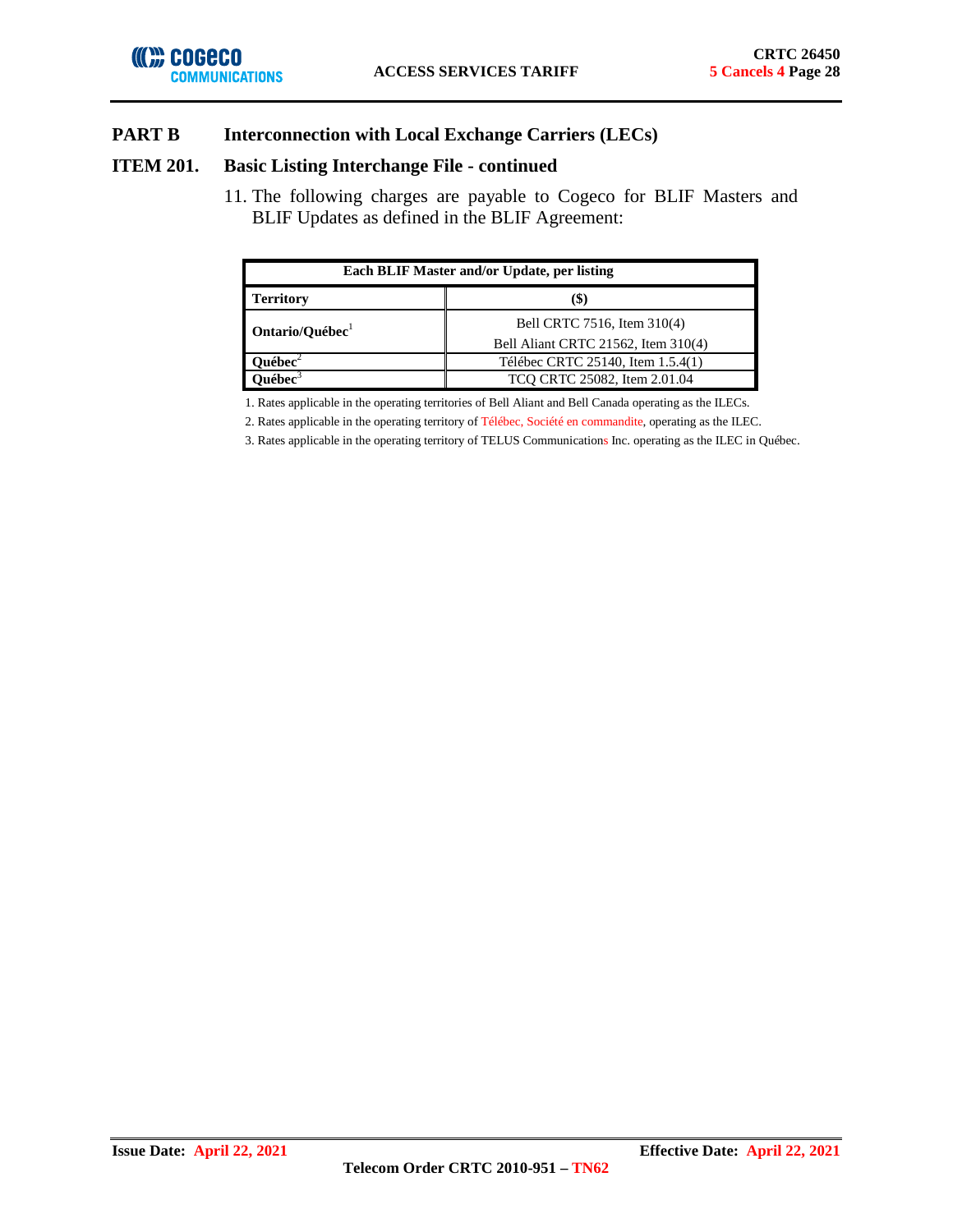

### **ITEM 201. Basic Listing Interchange File - continued**

11. The following charges are payable to Cogeco for BLIF Masters and BLIF Updates as defined in the BLIF Agreement:

| Each BLIF Master and/or Update, per listing |                                     |  |  |  |
|---------------------------------------------|-------------------------------------|--|--|--|
| <b>Territory</b>                            | (\$                                 |  |  |  |
| Ontario/Québec <sup>1</sup>                 | Bell CRTC 7516, Item 310(4)         |  |  |  |
|                                             | Bell Aliant CRTC 21562, Item 310(4) |  |  |  |
| $u$ ébec $^2$                               | Télébec CRTC 25140, Item 1.5.4(1)   |  |  |  |
| mébec $^3$                                  | TCQ CRTC 25082, Item 2.01.04        |  |  |  |

1. Rates applicable in the operating territories of Bell Aliant and Bell Canada operating as the ILECs.

2. Rates applicable in the operating territory of Télébec, Société en commandite, operating as the ILEC.

3. Rates applicable in the operating territory of TELUS Communications Inc. operating as the ILEC in Québec.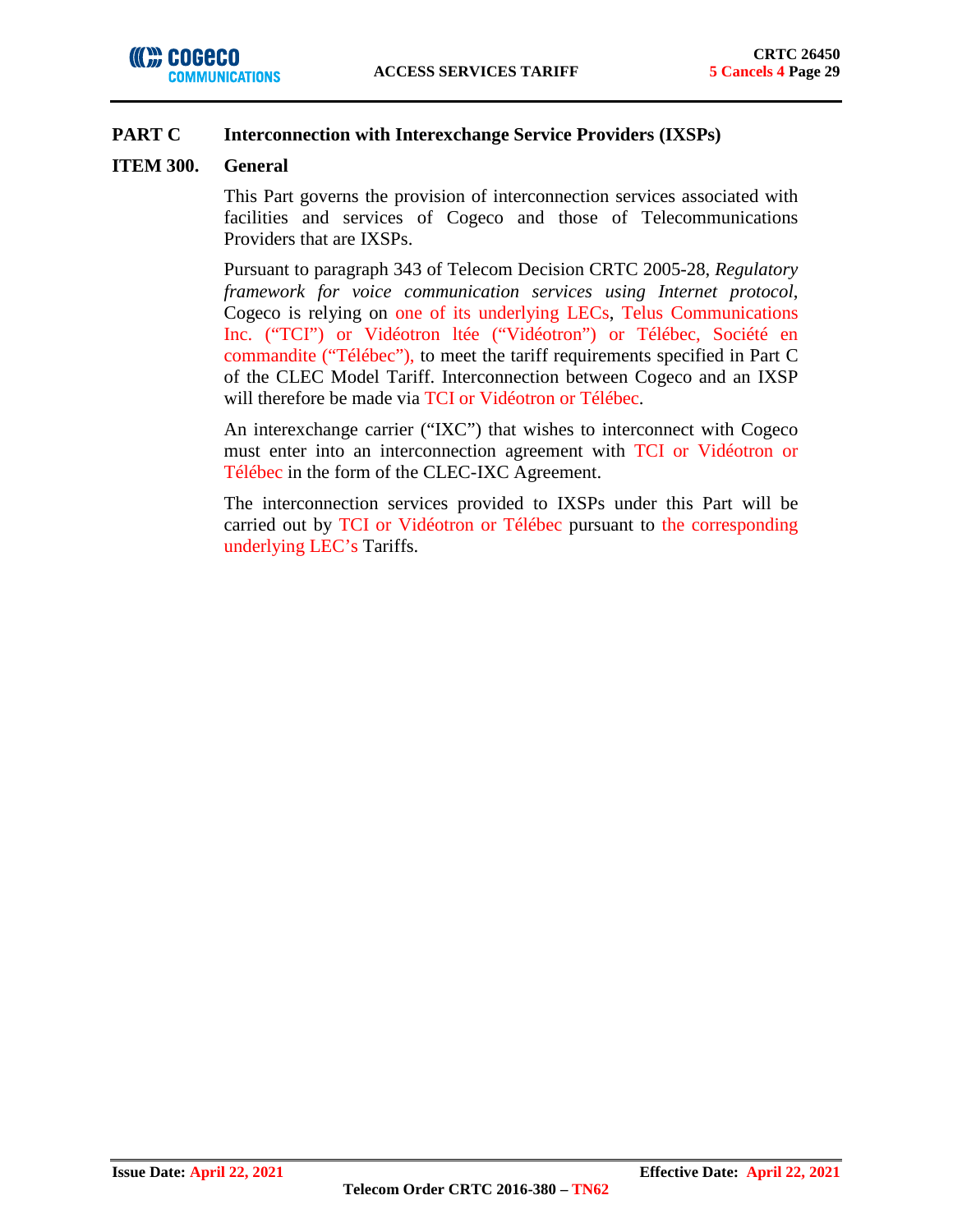## **PART C Interconnection with Interexchange Service Providers (IXSPs)**

### **ITEM 300. General**

This Part governs the provision of interconnection services associated with facilities and services of Cogeco and those of Telecommunications Providers that are IXSPs.

Pursuant to paragraph 343 of Telecom Decision CRTC 2005-28, *Regulatory framework for voice communication services using Internet protocol*, Cogeco is relying on one of its underlying LECs, Telus Communications Inc. ("TCI") or Vidéotron ltée ("Vidéotron") or Télébec, Société en commandite ("Télébec"), to meet the tariff requirements specified in Part C of the CLEC Model Tariff. Interconnection between Cogeco and an IXSP will therefore be made via TCI or Vidéotron or Télébec.

An interexchange carrier ("IXC") that wishes to interconnect with Cogeco must enter into an interconnection agreement with TCI or Vidéotron or Télébec in the form of the CLEC-IXC Agreement.

The interconnection services provided to IXSPs under this Part will be carried out by TCI or Vidéotron or Télébec pursuant to the corresponding underlying LEC's Tariffs.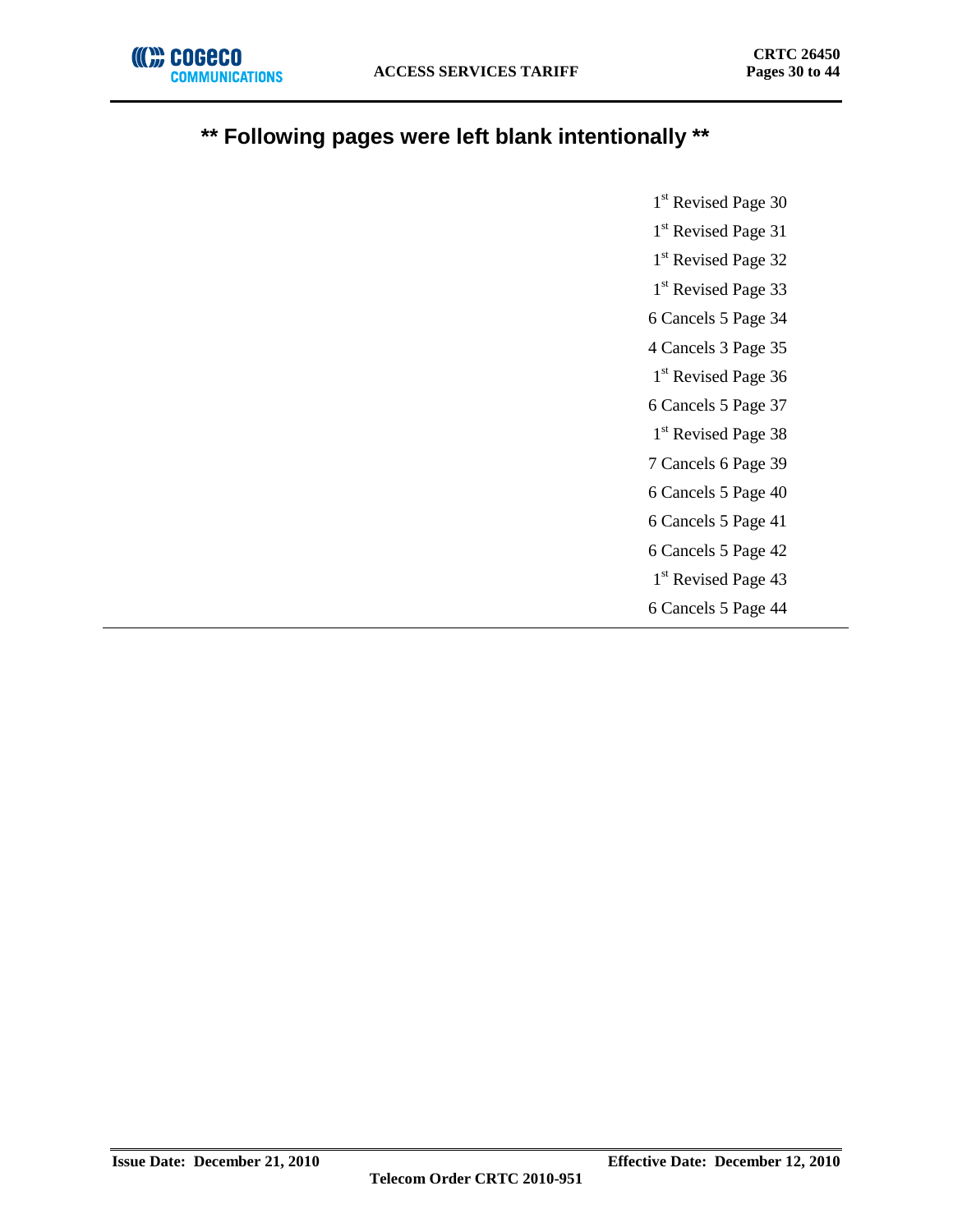

## **\*\* Following pages were left blank intentionally \*\***

1<sup>st</sup> Revised Page 30 1<sup>st</sup> Revised Page 31

1<sup>st</sup> Revised Page 32

1<sup>st</sup> Revised Page 33

6 Cancels 5 Page 34

4 Cancels 3 Page 35

1<sup>st</sup> Revised Page 36

6 Cancels 5 Page 37 1<sup>st</sup> Revised Page 38

7 Cancels 6 Page 39

6 Cancels 5 Page 40

6 Cancels 5 Page 41

6 Cancels 5 Page 42

1<sup>st</sup> Revised Page 43

6 Cancels 5 Page 44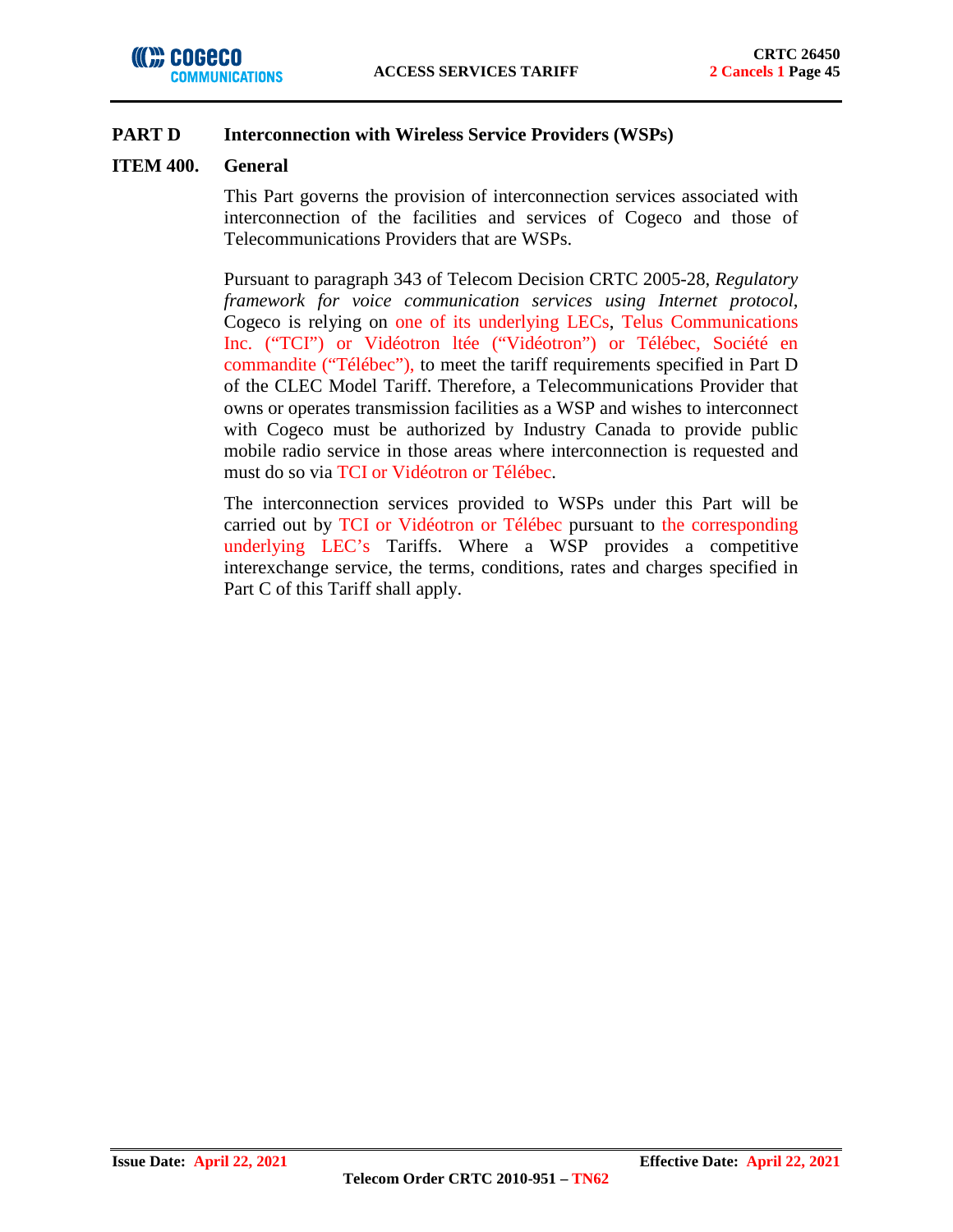

## **PART D Interconnection with Wireless Service Providers (WSPs)**

### **ITEM 400. General**

This Part governs the provision of interconnection services associated with interconnection of the facilities and services of Cogeco and those of Telecommunications Providers that are WSPs.

Pursuant to paragraph 343 of Telecom Decision CRTC 2005-28, *Regulatory framework for voice communication services using Internet protocol*, Cogeco is relying on one of its underlying LECs, Telus Communications Inc. ("TCI") or Vidéotron ltée ("Vidéotron") or Télébec, Société en commandite ("Télébec"), to meet the tariff requirements specified in Part D of the CLEC Model Tariff. Therefore, a Telecommunications Provider that owns or operates transmission facilities as a WSP and wishes to interconnect with Cogeco must be authorized by Industry Canada to provide public mobile radio service in those areas where interconnection is requested and must do so via TCI or Vidéotron or Télébec.

The interconnection services provided to WSPs under this Part will be carried out by TCI or Vidéotron or Télébec pursuant to the corresponding underlying LEC's Tariffs. Where a WSP provides a competitive interexchange service, the terms, conditions, rates and charges specified in Part C of this Tariff shall apply.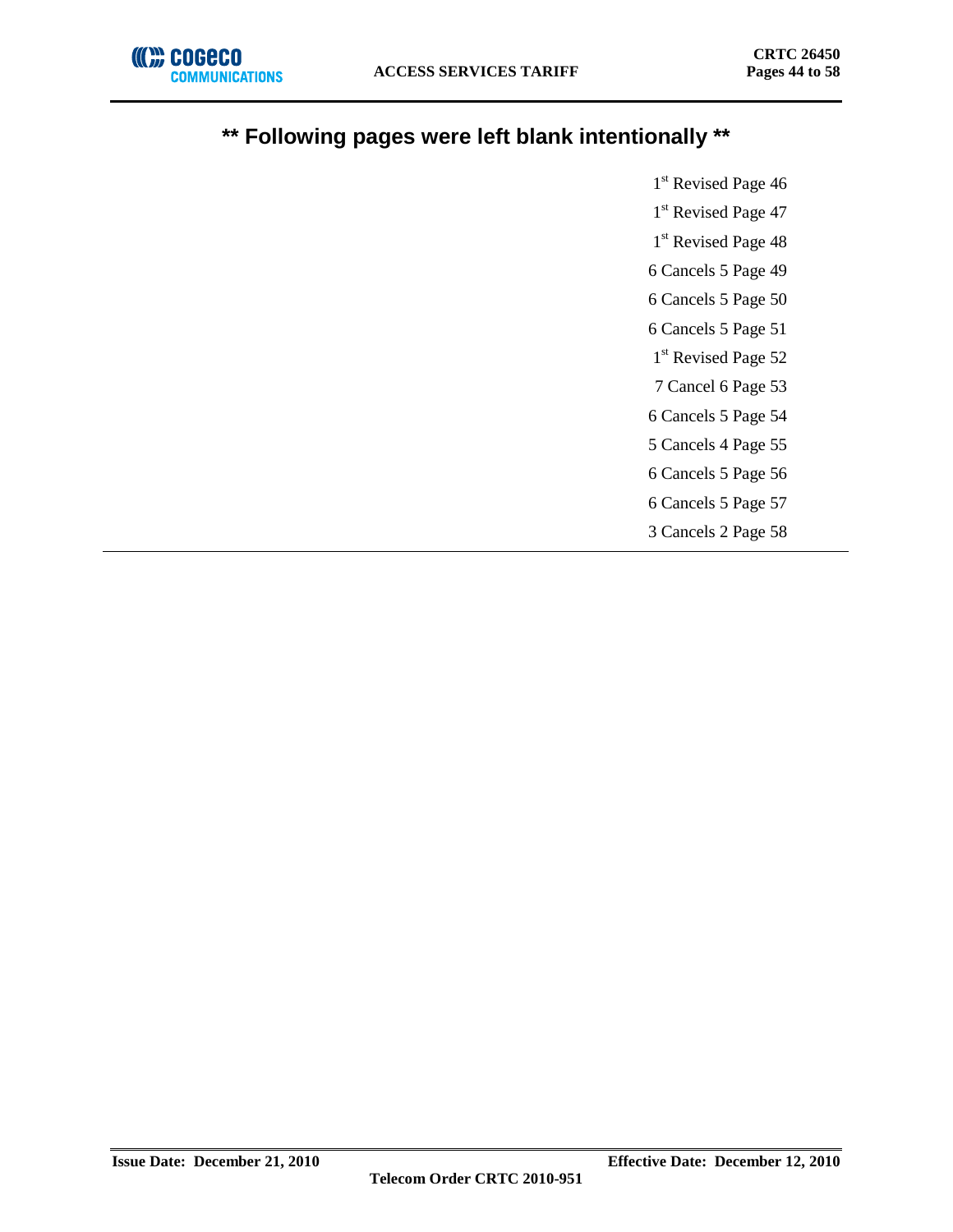

# **\*\* Following pages were left blank intentionally \*\***

1<sup>st</sup> Revised Page 46 1<sup>st</sup> Revised Page 47 1<sup>st</sup> Revised Page 48 6 Cancels 5 Page 49 6 Cancels 5 Page 50 6 Cancels 5 Page 51 1<sup>st</sup> Revised Page 52 7 Cancel 6 Page 53 6 Cancels 5 Page 54 5 Cancels 4 Page 55 6 Cancels 5 Page 56 6 Cancels 5 Page 57 3 Cancels 2 Page 58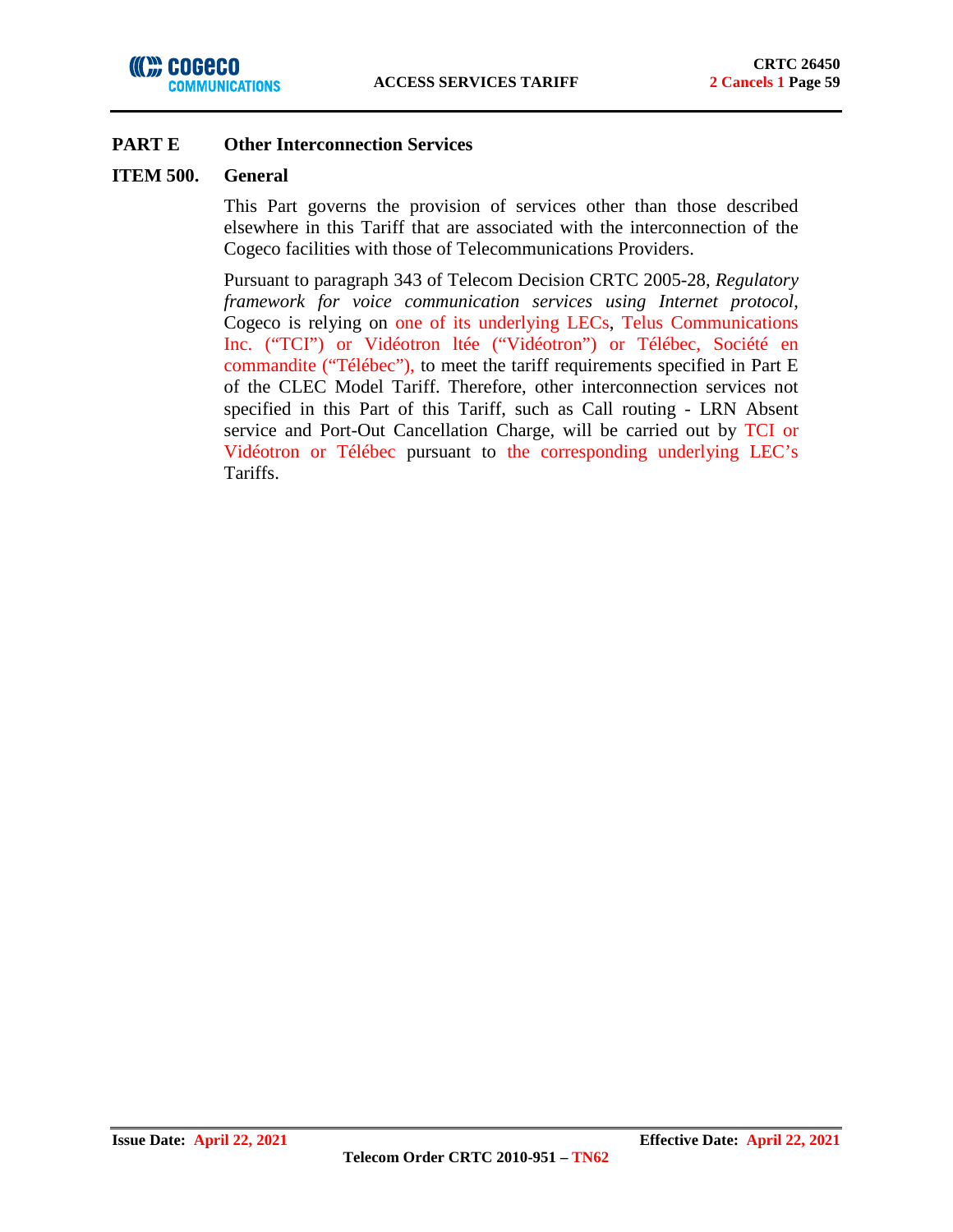#### **ITEM 500. General**

This Part governs the provision of services other than those described elsewhere in this Tariff that are associated with the interconnection of the Cogeco facilities with those of Telecommunications Providers.

Pursuant to paragraph 343 of Telecom Decision CRTC 2005-28, *Regulatory framework for voice communication services using Internet protocol*, Cogeco is relying on one of its underlying LECs, Telus Communications Inc. ("TCI") or Vidéotron ltée ("Vidéotron") or Télébec, Société en commandite ("Télébec"), to meet the tariff requirements specified in Part E of the CLEC Model Tariff. Therefore, other interconnection services not specified in this Part of this Tariff, such as Call routing - LRN Absent service and Port-Out Cancellation Charge, will be carried out by TCI or Vidéotron or Télébec pursuant to the corresponding underlying LEC's Tariffs.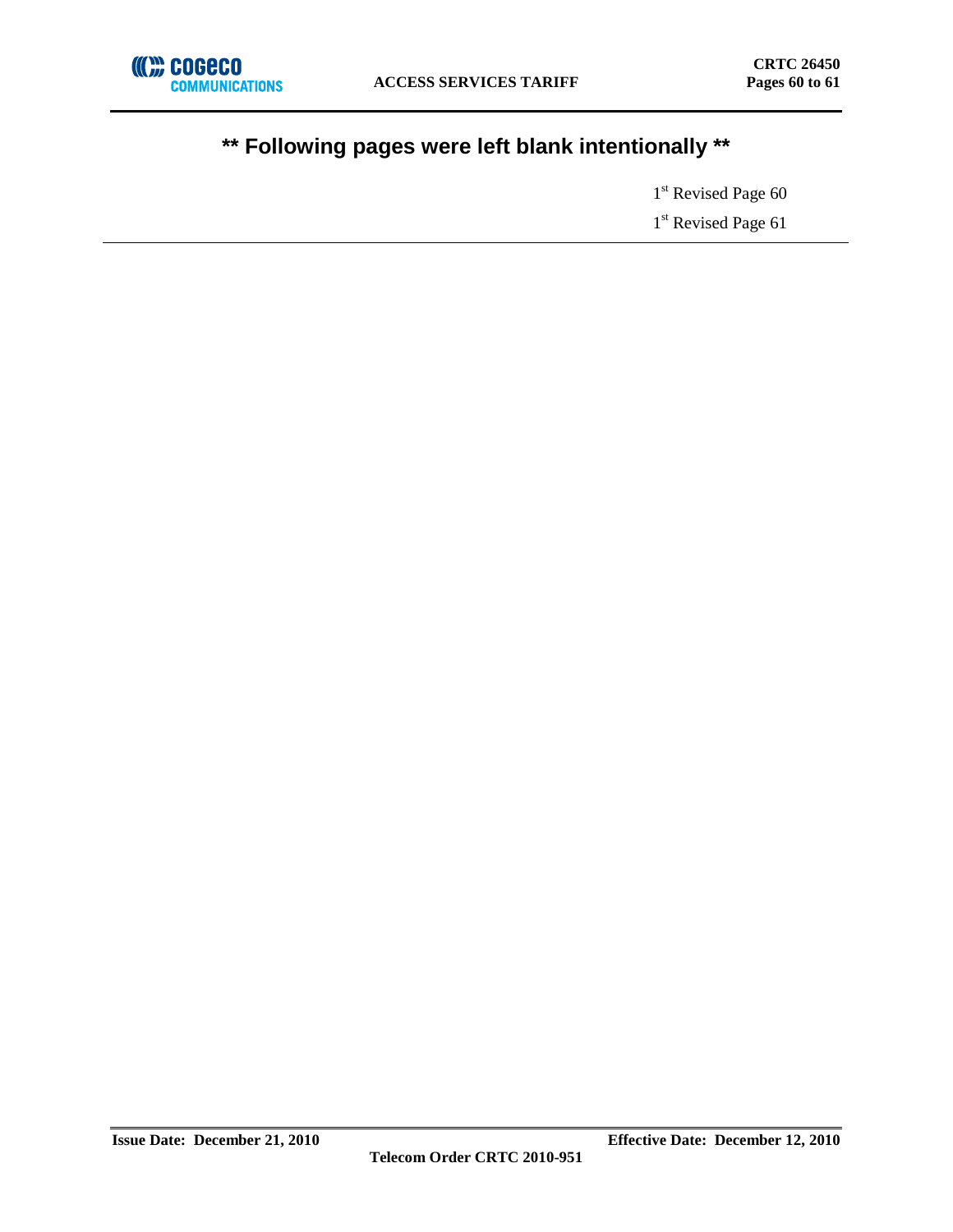# **\*\* Following pages were left blank intentionally \*\***

1<sup>st</sup> Revised Page 60 1<sup>st</sup> Revised Page 61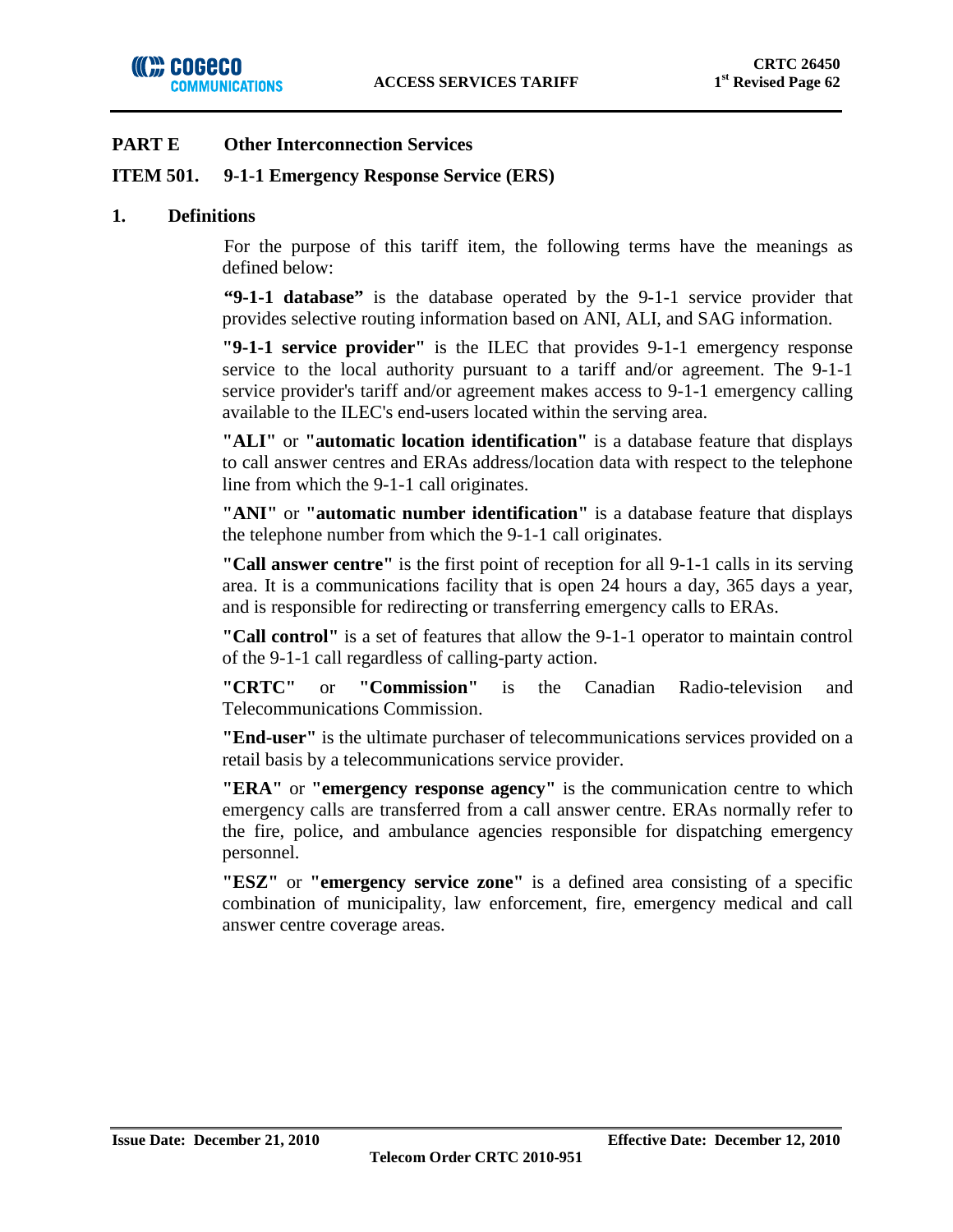## **ITEM 501. 9-1-1 Emergency Response Service (ERS)**

### **1. Definitions**

For the purpose of this tariff item, the following terms have the meanings as defined below:

**"9-1-1 database"** is the database operated by the 9-1-1 service provider that provides selective routing information based on ANI, ALI, and SAG information.

**"9-1-1 service provider"** is the ILEC that provides 9-1-1 emergency response service to the local authority pursuant to a tariff and/or agreement. The 9-1-1 service provider's tariff and/or agreement makes access to 9-1-1 emergency calling available to the ILEC's end-users located within the serving area.

**"ALI"** or **"automatic location identification"** is a database feature that displays to call answer centres and ERAs address/location data with respect to the telephone line from which the 9-1-1 call originates.

**"ANI"** or **"automatic number identification"** is a database feature that displays the telephone number from which the 9-1-1 call originates.

**"Call answer centre"** is the first point of reception for all 9-1-1 calls in its serving area. It is a communications facility that is open 24 hours a day, 365 days a year, and is responsible for redirecting or transferring emergency calls to ERAs.

**"Call control"** is a set of features that allow the 9-1-1 operator to maintain control of the 9-1-1 call regardless of calling-party action.

**"CRTC"** or **"Commission"** is the Canadian Radio-television and Telecommunications Commission.

**"End-user"** is the ultimate purchaser of telecommunications services provided on a retail basis by a telecommunications service provider.

**"ERA"** or **"emergency response agency"** is the communication centre to which emergency calls are transferred from a call answer centre. ERAs normally refer to the fire, police, and ambulance agencies responsible for dispatching emergency personnel.

**"ESZ"** or **"emergency service zone"** is a defined area consisting of a specific combination of municipality, law enforcement, fire, emergency medical and call answer centre coverage areas.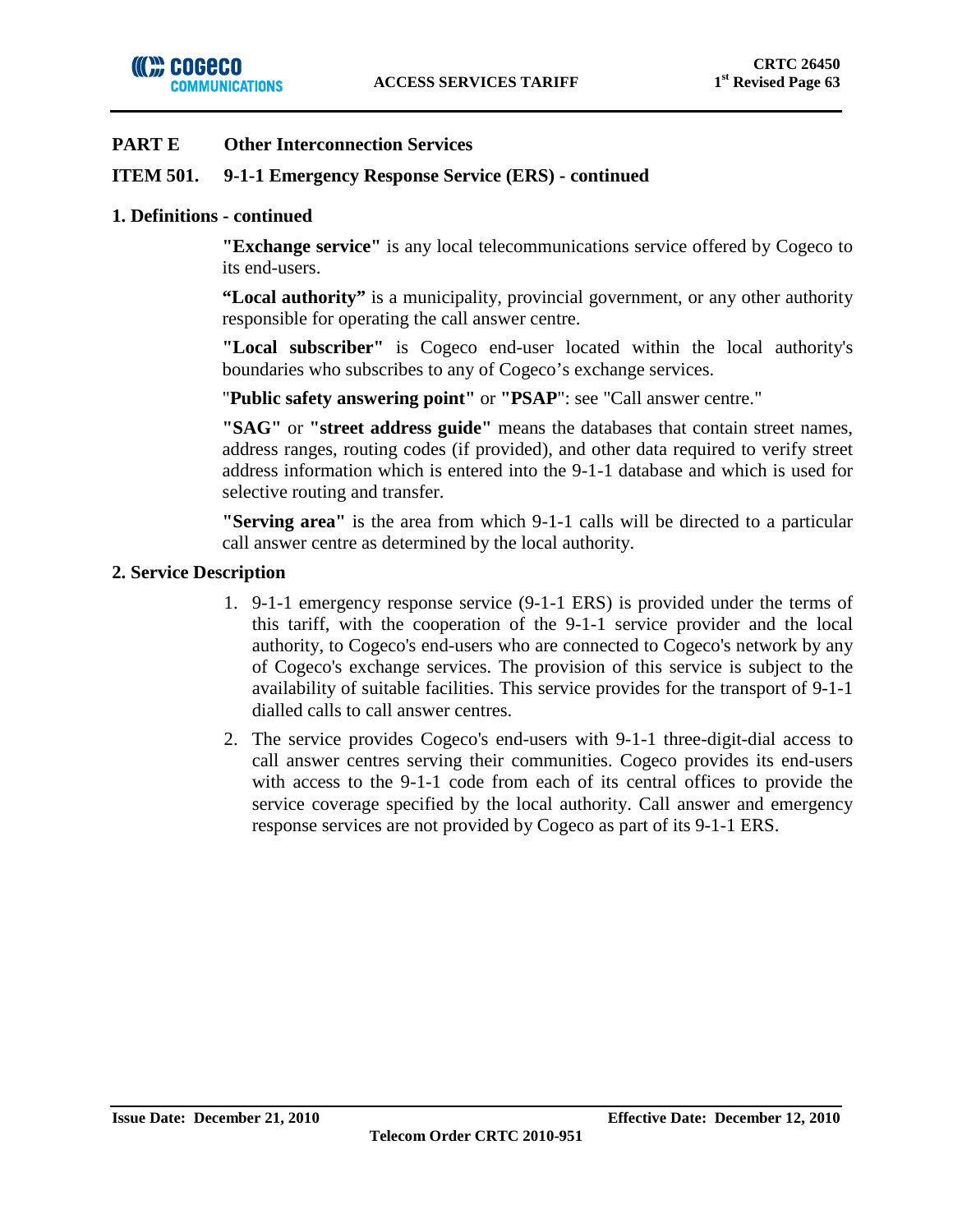

## **ITEM 501. 9-1-1 Emergency Response Service (ERS) - continued**

### **1. Definitions - continued**

**"Exchange service"** is any local telecommunications service offered by Cogeco to its end-users.

**"Local authority"** is a municipality, provincial government, or any other authority responsible for operating the call answer centre.

**"Local subscriber"** is Cogeco end-user located within the local authority's boundaries who subscribes to any of Cogeco's exchange services.

"**Public safety answering point"** or **"PSAP**": see "Call answer centre."

**"SAG"** or **"street address guide"** means the databases that contain street names, address ranges, routing codes (if provided), and other data required to verify street address information which is entered into the 9-1-1 database and which is used for selective routing and transfer.

**"Serving area"** is the area from which 9-1-1 calls will be directed to a particular call answer centre as determined by the local authority.

## **2. Service Description**

- 1. 9-1-1 emergency response service (9-1-1 ERS) is provided under the terms of this tariff, with the cooperation of the 9-1-1 service provider and the local authority, to Cogeco's end-users who are connected to Cogeco's network by any of Cogeco's exchange services. The provision of this service is subject to the availability of suitable facilities. This service provides for the transport of 9-1-1 dialled calls to call answer centres.
- 2. The service provides Cogeco's end-users with 9-1-1 three-digit-dial access to call answer centres serving their communities. Cogeco provides its end-users with access to the 9-1-1 code from each of its central offices to provide the service coverage specified by the local authority. Call answer and emergency response services are not provided by Cogeco as part of its 9-1-1 ERS.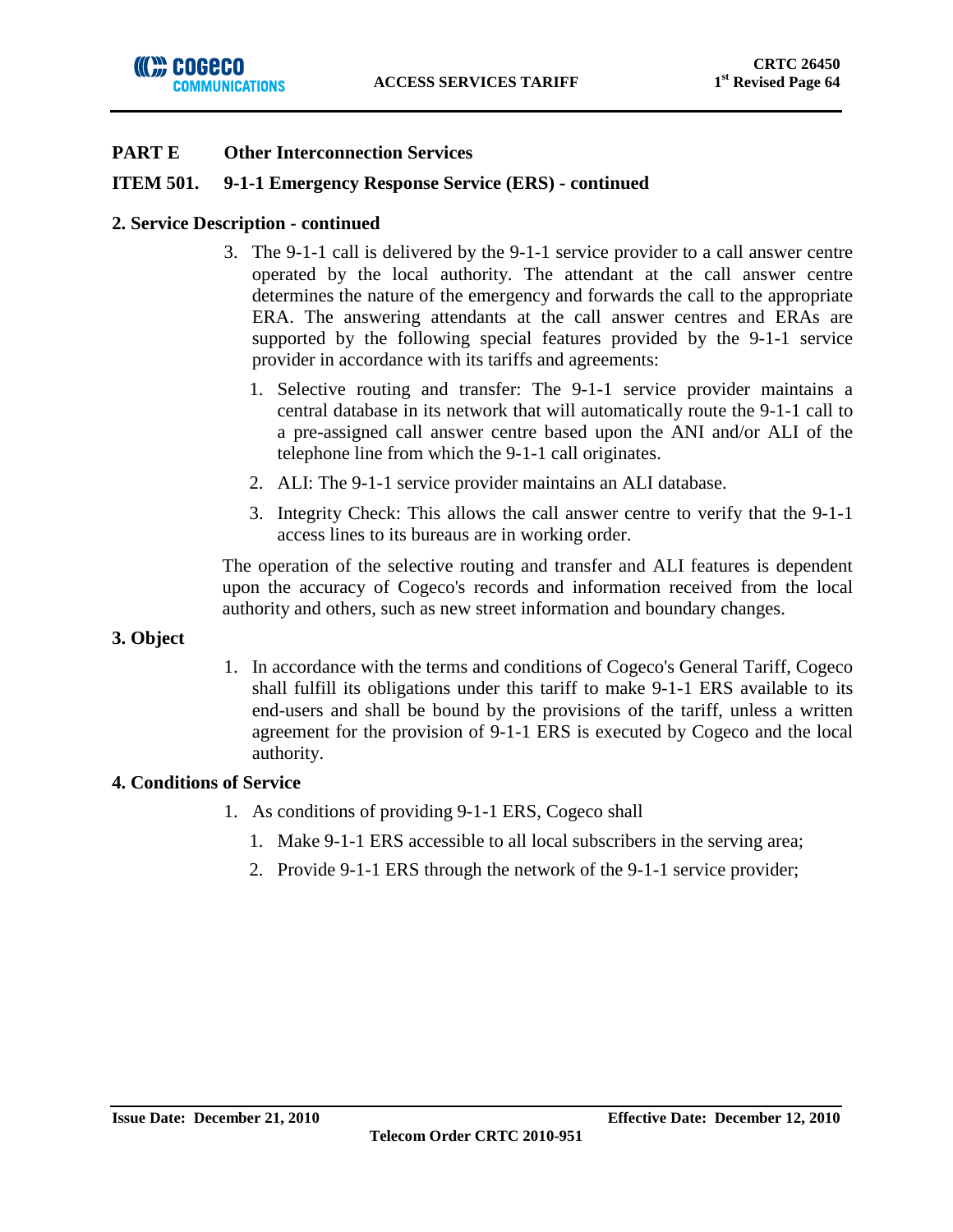## **ITEM 501. 9-1-1 Emergency Response Service (ERS) - continued**

### **2. Service Description - continued**

- 3. The 9-1-1 call is delivered by the 9-1-1 service provider to a call answer centre operated by the local authority. The attendant at the call answer centre determines the nature of the emergency and forwards the call to the appropriate ERA. The answering attendants at the call answer centres and ERAs are supported by the following special features provided by the 9-1-1 service provider in accordance with its tariffs and agreements:
	- 1. Selective routing and transfer: The 9-1-1 service provider maintains a central database in its network that will automatically route the 9-1-1 call to a pre-assigned call answer centre based upon the ANI and/or ALI of the telephone line from which the 9-1-1 call originates.
	- 2. ALI: The 9-1-1 service provider maintains an ALI database.
	- 3. Integrity Check: This allows the call answer centre to verify that the 9-1-1 access lines to its bureaus are in working order.

The operation of the selective routing and transfer and ALI features is dependent upon the accuracy of Cogeco's records and information received from the local authority and others, such as new street information and boundary changes.

### **3. Object**

1. In accordance with the terms and conditions of Cogeco's General Tariff, Cogeco shall fulfill its obligations under this tariff to make 9-1-1 ERS available to its end-users and shall be bound by the provisions of the tariff, unless a written agreement for the provision of 9-1-1 ERS is executed by Cogeco and the local authority.

### **4. Conditions of Service**

- 1. As conditions of providing 9-1-1 ERS, Cogeco shall
	- 1. Make 9-1-1 ERS accessible to all local subscribers in the serving area;
	- 2. Provide 9-1-1 ERS through the network of the 9-1-1 service provider;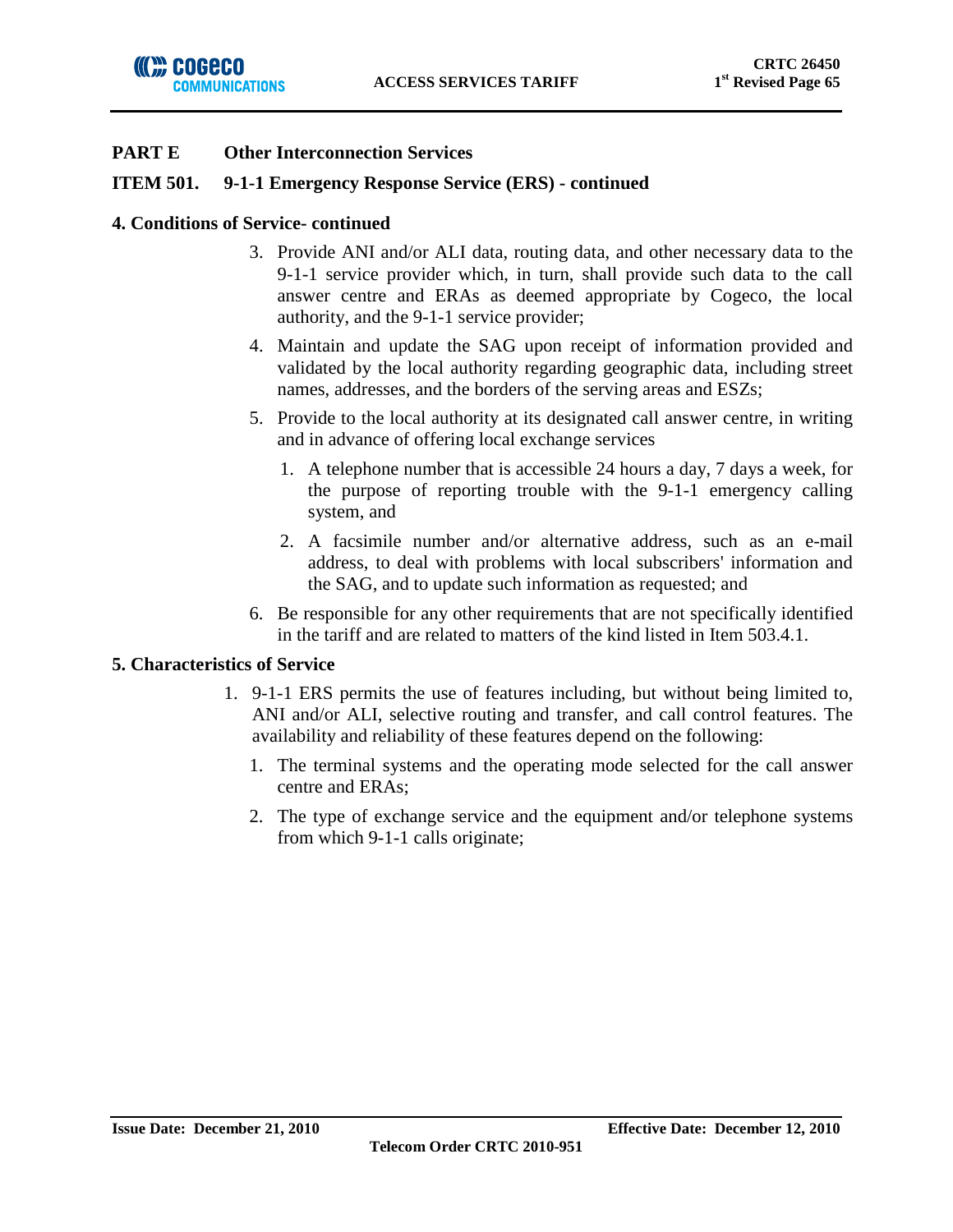## **ITEM 501. 9-1-1 Emergency Response Service (ERS) - continued**

### **4. Conditions of Service- continued**

- 3. Provide ANI and/or ALI data, routing data, and other necessary data to the 9-1-1 service provider which, in turn, shall provide such data to the call answer centre and ERAs as deemed appropriate by Cogeco, the local authority, and the 9-1-1 service provider;
- 4. Maintain and update the SAG upon receipt of information provided and validated by the local authority regarding geographic data, including street names, addresses, and the borders of the serving areas and ESZs;
- 5. Provide to the local authority at its designated call answer centre, in writing and in advance of offering local exchange services
	- 1. A telephone number that is accessible 24 hours a day, 7 days a week, for the purpose of reporting trouble with the 9-1-1 emergency calling system, and
	- 2. A facsimile number and/or alternative address, such as an e-mail address, to deal with problems with local subscribers' information and the SAG, and to update such information as requested; and
- 6. Be responsible for any other requirements that are not specifically identified in the tariff and are related to matters of the kind listed in Item 503.4.1.

### **5. Characteristics of Service**

- 1. 9-1-1 ERS permits the use of features including, but without being limited to, ANI and/or ALI, selective routing and transfer, and call control features. The availability and reliability of these features depend on the following:
	- 1. The terminal systems and the operating mode selected for the call answer centre and ERAs;
	- 2. The type of exchange service and the equipment and/or telephone systems from which 9-1-1 calls originate;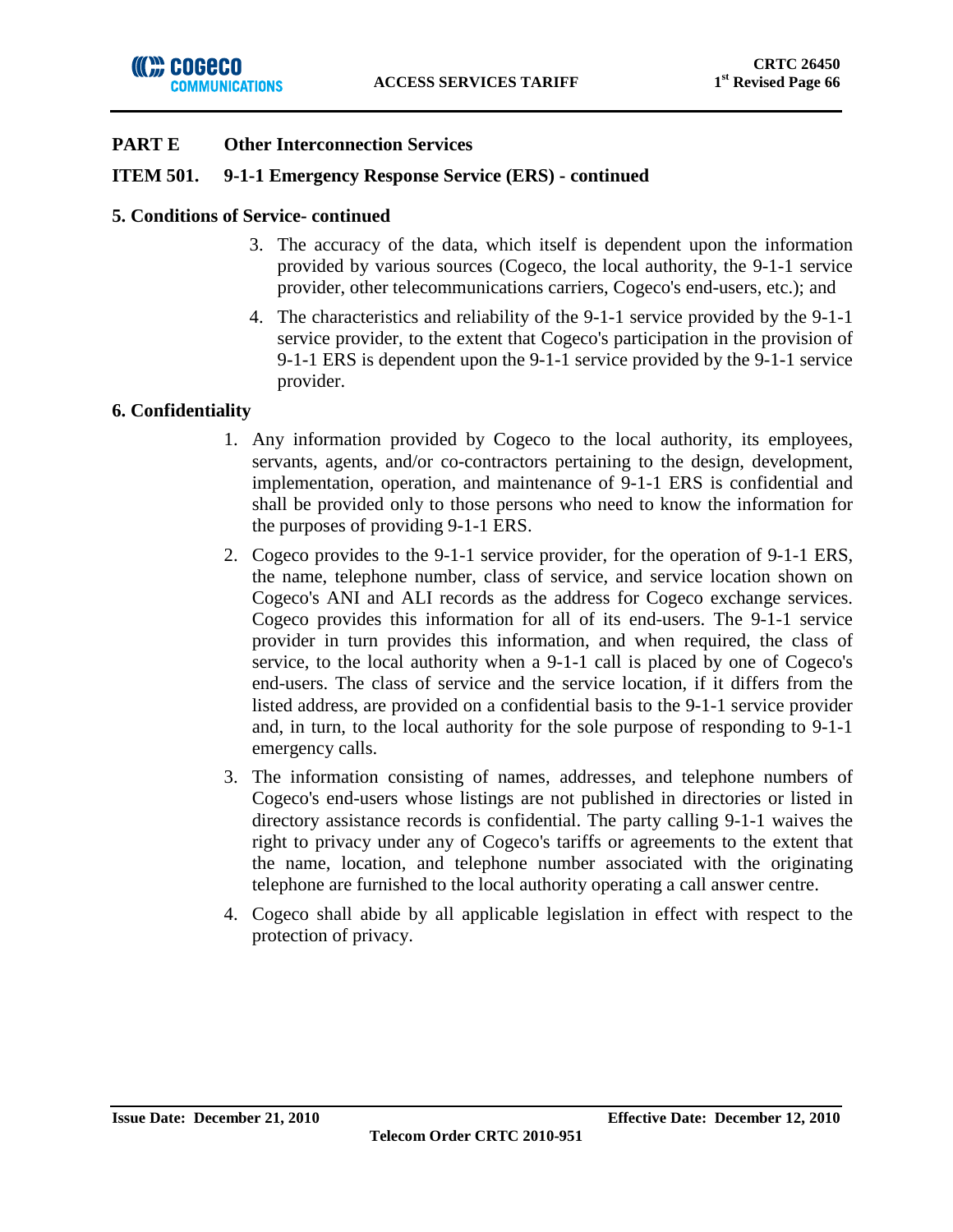

## **ITEM 501. 9-1-1 Emergency Response Service (ERS) - continued**

## **5. Conditions of Service- continued**

- 3. The accuracy of the data, which itself is dependent upon the information provided by various sources (Cogeco, the local authority, the 9-1-1 service provider, other telecommunications carriers, Cogeco's end-users, etc.); and
- 4. The characteristics and reliability of the 9-1-1 service provided by the 9-1-1 service provider, to the extent that Cogeco's participation in the provision of 9-1-1 ERS is dependent upon the 9-1-1 service provided by the 9-1-1 service provider.

## **6. Confidentiality**

- 1. Any information provided by Cogeco to the local authority, its employees, servants, agents, and/or co-contractors pertaining to the design, development, implementation, operation, and maintenance of 9-1-1 ERS is confidential and shall be provided only to those persons who need to know the information for the purposes of providing 9-1-1 ERS.
- 2. Cogeco provides to the 9-1-1 service provider, for the operation of 9-1-1 ERS, the name, telephone number, class of service, and service location shown on Cogeco's ANI and ALI records as the address for Cogeco exchange services. Cogeco provides this information for all of its end-users. The 9-1-1 service provider in turn provides this information, and when required, the class of service, to the local authority when a 9-1-1 call is placed by one of Cogeco's end-users. The class of service and the service location, if it differs from the listed address, are provided on a confidential basis to the 9-1-1 service provider and, in turn, to the local authority for the sole purpose of responding to 9-1-1 emergency calls.
- 3. The information consisting of names, addresses, and telephone numbers of Cogeco's end-users whose listings are not published in directories or listed in directory assistance records is confidential. The party calling 9-1-1 waives the right to privacy under any of Cogeco's tariffs or agreements to the extent that the name, location, and telephone number associated with the originating telephone are furnished to the local authority operating a call answer centre.
- 4. Cogeco shall abide by all applicable legislation in effect with respect to the protection of privacy.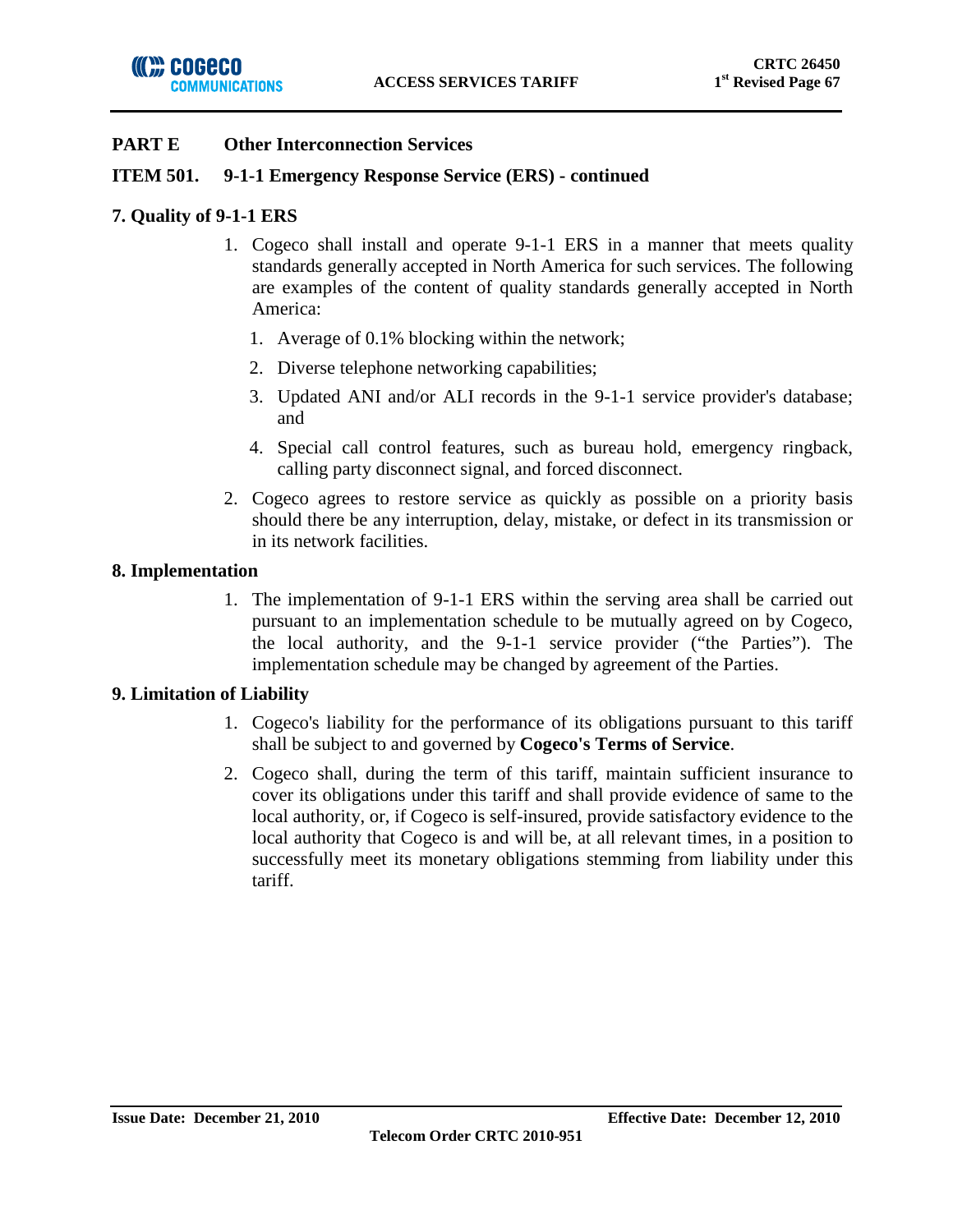## **ITEM 501. 9-1-1 Emergency Response Service (ERS) - continued**

## **7. Quality of 9-1-1 ERS**

- 1. Cogeco shall install and operate 9-1-1 ERS in a manner that meets quality standards generally accepted in North America for such services. The following are examples of the content of quality standards generally accepted in North America:
	- 1. Average of 0.1% blocking within the network;
	- 2. Diverse telephone networking capabilities;
	- 3. Updated ANI and/or ALI records in the 9-1-1 service provider's database; and
	- 4. Special call control features, such as bureau hold, emergency ringback, calling party disconnect signal, and forced disconnect.
- 2. Cogeco agrees to restore service as quickly as possible on a priority basis should there be any interruption, delay, mistake, or defect in its transmission or in its network facilities.

## **8. Implementation**

1. The implementation of 9-1-1 ERS within the serving area shall be carried out pursuant to an implementation schedule to be mutually agreed on by Cogeco, the local authority, and the 9-1-1 service provider ("the Parties"). The implementation schedule may be changed by agreement of the Parties.

## **9. Limitation of Liability**

- 1. Cogeco's liability for the performance of its obligations pursuant to this tariff shall be subject to and governed by **Cogeco's Terms of Service**.
- 2. Cogeco shall, during the term of this tariff, maintain sufficient insurance to cover its obligations under this tariff and shall provide evidence of same to the local authority, or, if Cogeco is self-insured, provide satisfactory evidence to the local authority that Cogeco is and will be, at all relevant times, in a position to successfully meet its monetary obligations stemming from liability under this tariff.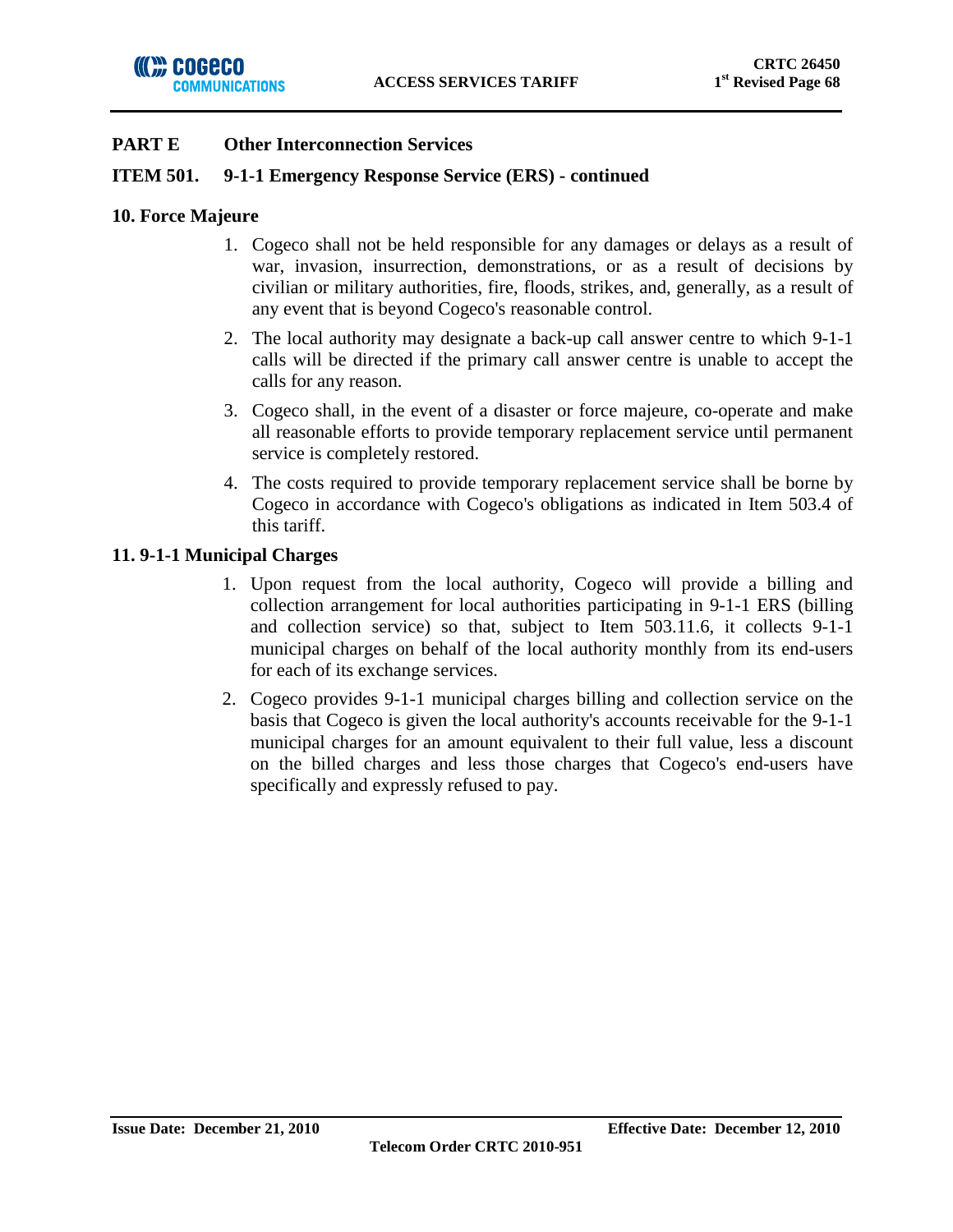## **ITEM 501. 9-1-1 Emergency Response Service (ERS) - continued**

### **10. Force Majeure**

- 1. Cogeco shall not be held responsible for any damages or delays as a result of war, invasion, insurrection, demonstrations, or as a result of decisions by civilian or military authorities, fire, floods, strikes, and, generally, as a result of any event that is beyond Cogeco's reasonable control.
- 2. The local authority may designate a back-up call answer centre to which 9-1-1 calls will be directed if the primary call answer centre is unable to accept the calls for any reason.
- 3. Cogeco shall, in the event of a disaster or force majeure, co-operate and make all reasonable efforts to provide temporary replacement service until permanent service is completely restored.
- 4. The costs required to provide temporary replacement service shall be borne by Cogeco in accordance with Cogeco's obligations as indicated in Item 503.4 of this tariff.

## **11. 9-1-1 Municipal Charges**

- 1. Upon request from the local authority, Cogeco will provide a billing and collection arrangement for local authorities participating in 9-1-1 ERS (billing and collection service) so that, subject to Item 503.11.6, it collects 9-1-1 municipal charges on behalf of the local authority monthly from its end-users for each of its exchange services.
- 2. Cogeco provides 9-1-1 municipal charges billing and collection service on the basis that Cogeco is given the local authority's accounts receivable for the 9-1-1 municipal charges for an amount equivalent to their full value, less a discount on the billed charges and less those charges that Cogeco's end-users have specifically and expressly refused to pay.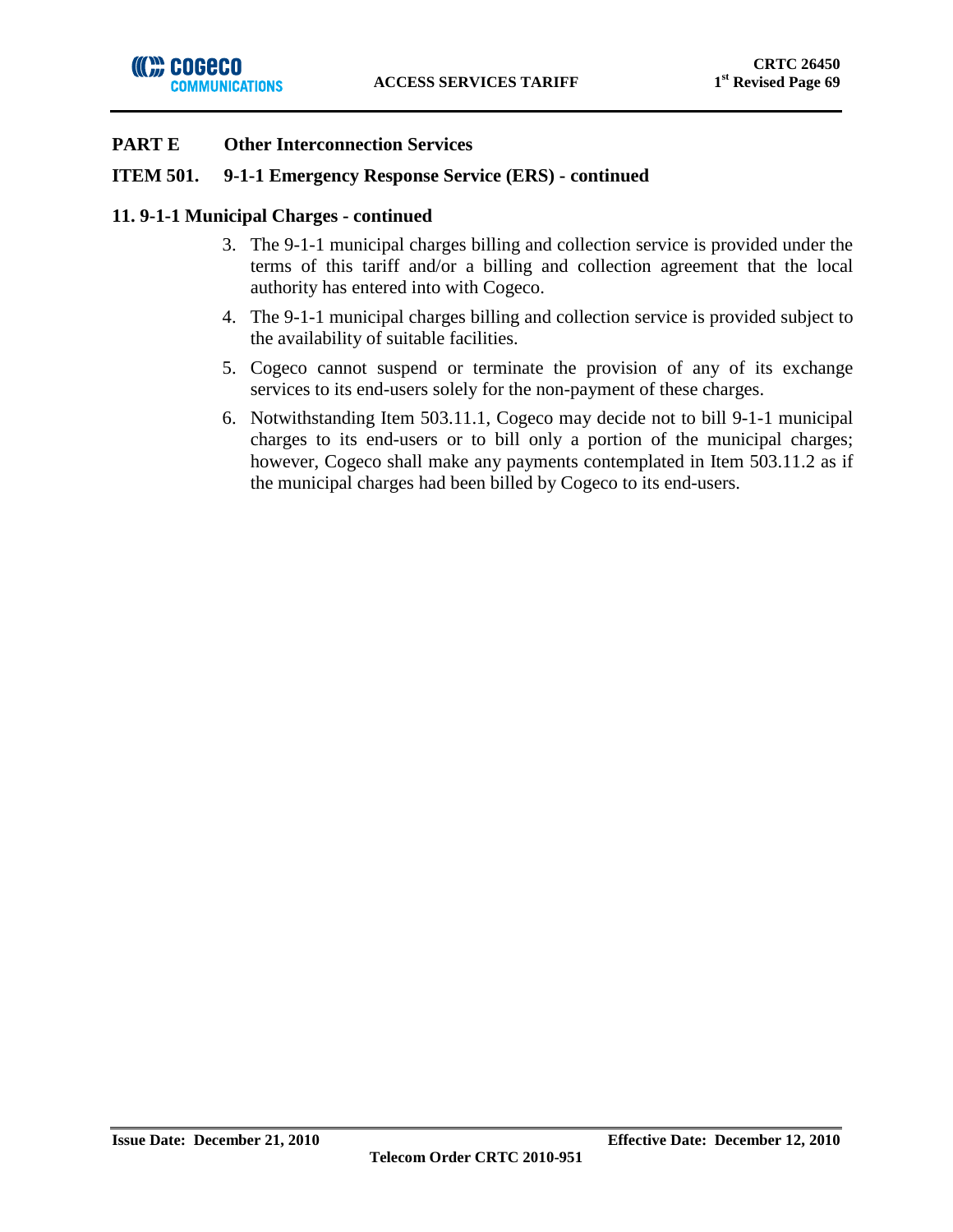

### **ITEM 501. 9-1-1 Emergency Response Service (ERS) - continued**

### **11. 9-1-1 Municipal Charges - continued**

- 3. The 9-1-1 municipal charges billing and collection service is provided under the terms of this tariff and/or a billing and collection agreement that the local authority has entered into with Cogeco.
- 4. The 9-1-1 municipal charges billing and collection service is provided subject to the availability of suitable facilities.
- 5. Cogeco cannot suspend or terminate the provision of any of its exchange services to its end-users solely for the non-payment of these charges.
- 6. Notwithstanding Item 503.11.1, Cogeco may decide not to bill 9-1-1 municipal charges to its end-users or to bill only a portion of the municipal charges; however, Cogeco shall make any payments contemplated in Item 503.11.2 as if the municipal charges had been billed by Cogeco to its end-users.